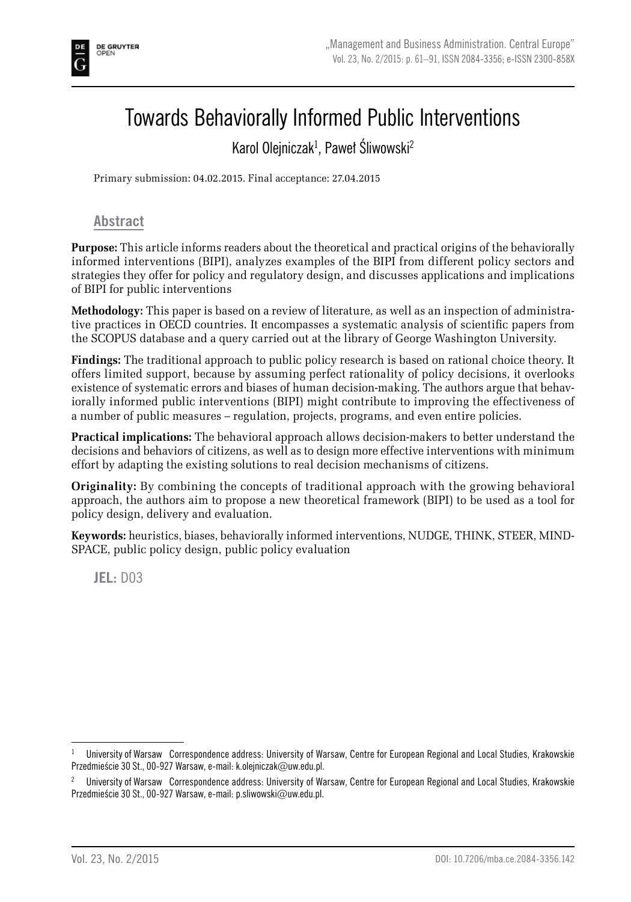# Towards Behaviorally Informed Public Interventions

## Karol Olejniczak<sup>1</sup>, Paweł Śliwowski<sup>2</sup>

Primary submission: 04.02.2015. Final acceptance: 27.04.2015

### **Abstract**

**Purpose:** This article informs readers about the theoretical and practical origins of the behaviorally informed interventions (BIPI), analyzes examples of the BIPI from different policy sectors and strategies they offer for policy and regulatory design, and discusses applications and implications of BIPI for public interventions

**Methodology:** This paper is based on a review of literature, as well as an inspection of administrative practices in OECD countries. It encompasses a systematic analysis of scientific papers from the SCOPUS database and a query carried out at the library of George Washington University.

**Findings:** The traditional approach to public policy research is based on rational choice theory. It offers limited support, because by assuming perfect rationality of policy decisions, it overlooks existence of systematic errors and biases of human decision-making. The authors argue that behaviorally informed public interventions (BIPI) might contribute to improving the effectiveness of a number of public measures – regulation, projects, programs, and even entire policies.

**Practical implications:** The behavioral approach allows decision-makers to better understand the decisions and behaviors of citizens, as well as to design more effective interventions with minimum effort by adapting the existing solutions to real decision mechanisms of citizens.

**Originality:** By combining the concepts of traditional approach with the growing behavioral approach, the authors aim to propose a new theoretical framework (BIPI) to be used as a tool for policy design, delivery and evaluation.

**Keywords:** heuristics, biases, behaviorally informed interventions, NUDGE, THINK, STEER, MIND-SPACE, public policy design, public policy evaluation

**JEL:** D03

<sup>1</sup> University of Warsaw Correspondence address: University of Warsaw, Centre for European Regional and Local Studies, Krakowskie Przedmieście 30 St., 00-927 Warsaw, e-mail: k.olejniczak@uw.edu.pl.

<sup>2</sup> University of Warsaw Correspondence address: University of Warsaw, Centre for European Regional and Local Studies, Krakowskie Przedmieście 30 St., 00-927 Warsaw, e-mail: p.sliwowski@uw.edu.pl.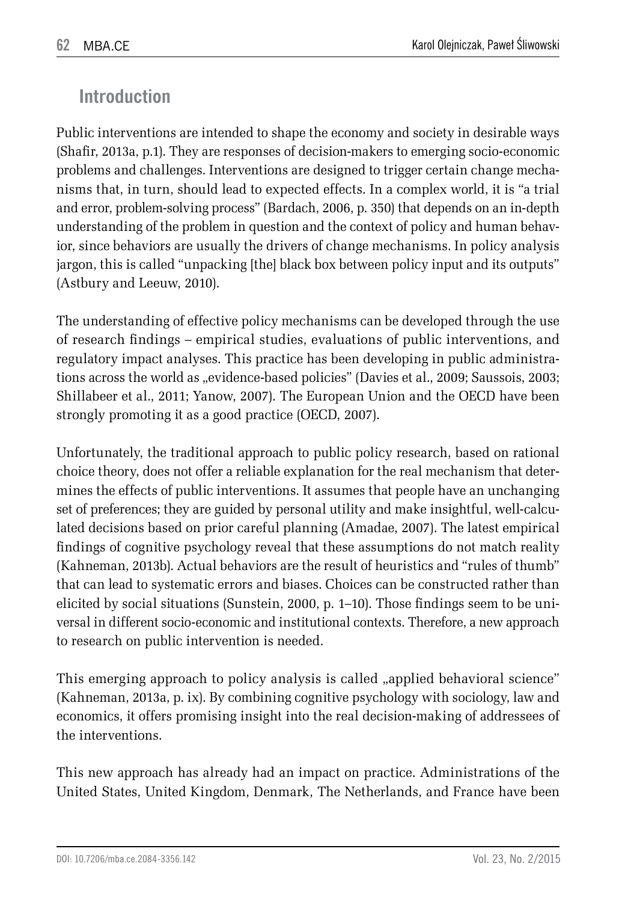## **Introduction**

Public interventions are intended to shape the economy and society in desirable ways (Shafir, 2013a, p.1). They are responses of decision-makers to emerging socio-economic problems and challenges. Interventions are designed to trigger certain change mechanisms that, in turn, should lead to expected effects. In a complex world, it is "a trial and error, problem-solving process" (Bardach, 2006, p. 350) that depends on an in-depth understanding of the problem in question and the context of policy and human behavior, since behaviors are usually the drivers of change mechanisms. In policy analysis jargon, this is called "unpacking [the] black box between policy input and its outputs" (Astbury and Leeuw, 2010).

The understanding of effective policy mechanisms can be developed through the use of research findings – empirical studies, evaluations of public interventions, and regulatory impact analyses. This practice has been developing in public administrations across the world as "evidence-based policies" (Davies et al., 2009; Saussois, 2003; Shillabeer et al., 2011; Yanow, 2007). The European Union and the OECD have been strongly promoting it as a good practice (OECD, 2007).

Unfortunately, the traditional approach to public policy research, based on rational choice theory, does not offer a reliable explanation for the real mechanism that determines the effects of public interventions. It assumes that people have an unchanging set of preferences; they are guided by personal utility and make insightful, well-calculated decisions based on prior careful planning (Amadae, 2007). The latest empirical findings of cognitive psychology reveal that these assumptions do not match reality (Kahneman, 2013b). Actual behaviors are the result of heuristics and "rules of thumb" that can lead to systematic errors and biases. Choices can be constructed rather than elicited by social situations (Sunstein, 2000, p. 1–10). Those findings seem to be universal in different socio-economic and institutional contexts. Therefore, a new approach to research on public intervention is needed.

This emerging approach to policy analysis is called , applied behavioral science" (Kahneman, 2013a, p. ix). By combining cognitive psychology with sociology, law and economics, it offers promising insight into the real decision-making of addressees of the interventions.

This new approach has already had an impact on practice. Administrations of the United States, United Kingdom, Denmark, The Netherlands, and France have been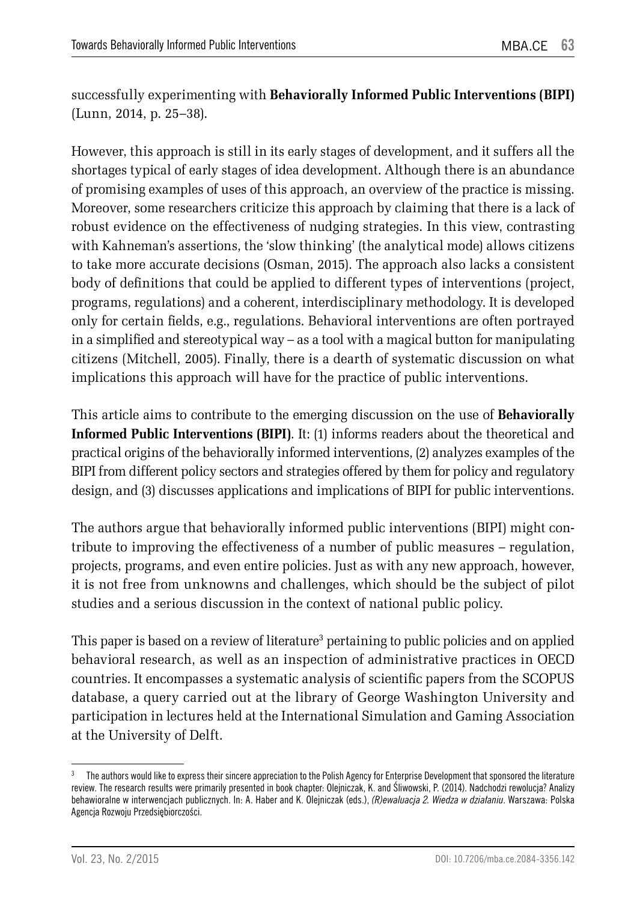successfully experimenting with **Behaviorally Informed Public Interventions (BIPI)** (Lunn, 2014, p. 25–38).

However, this approach is still in its early stages of development, and it suffers all the shortages typical of early stages of idea development. Although there is an abundance of promising examples of uses of this approach, an overview of the practice is missing. Moreover, some researchers criticize this approach by claiming that there is a lack of robust evidence on the effectiveness of nudging strategies. In this view, contrasting with Kahneman's assertions, the 'slow thinking' (the analytical mode) allows citizens to take more accurate decisions (Osman, 2015). The approach also lacks a consistent body of definitions that could be applied to different types of interventions (project, programs, regulations) and a coherent, interdisciplinary methodology. It is developed only for certain fields, e.g., regulations. Behavioral interventions are often portrayed in a simplified and stereotypical way – as a tool with a magical button for manipulating citizens (Mitchell, 2005). Finally, there is a dearth of systematic discussion on what implications this approach will have for the practice of public interventions.

This article aims to contribute to the emerging discussion on the use of **Behaviorally Informed Public Interventions (BIPI)**. It: (1) informs readers about the theoretical and practical origins of the behaviorally informed interventions, (2) analyzes examples of the BIPI from different policy sectors and strategies offered by them for policy and regulatory design, and (3) discusses applications and implications of BIPI for public interventions.

The authors argue that behaviorally informed public interventions (BIPI) might contribute to improving the effectiveness of a number of public measures – regulation, projects, programs, and even entire policies. Just as with any new approach, however, it is not free from unknowns and challenges, which should be the subject of pilot studies and a serious discussion in the context of national public policy.

This paper is based on a review of literature<sup>3</sup> pertaining to public policies and on applied behavioral research, as well as an inspection of administrative practices in OECD countries. It encompasses a systematic analysis of scientific papers from the SCOPUS database, a query carried out at the library of George Washington University and participation in lectures held at the International Simulation and Gaming Association at the University of Delft.

<sup>&</sup>lt;sup>3</sup> The authors would like to express their sincere appreciation to the Polish Agency for Enterprise Development that sponsored the literature review. The research results were primarily presented in book chapter: Olejniczak, K. and Śliwowski, P. (2014). Nadchodzi rewolucja? Analizy behawioralne w interwencjach publicznych. In: A. Haber and K. Olejniczak (eds.), *(R)ewaluacja 2. Wiedza w działaniu*. Warszawa: Polska Agencja Rozwoju Przedsiębiorczości.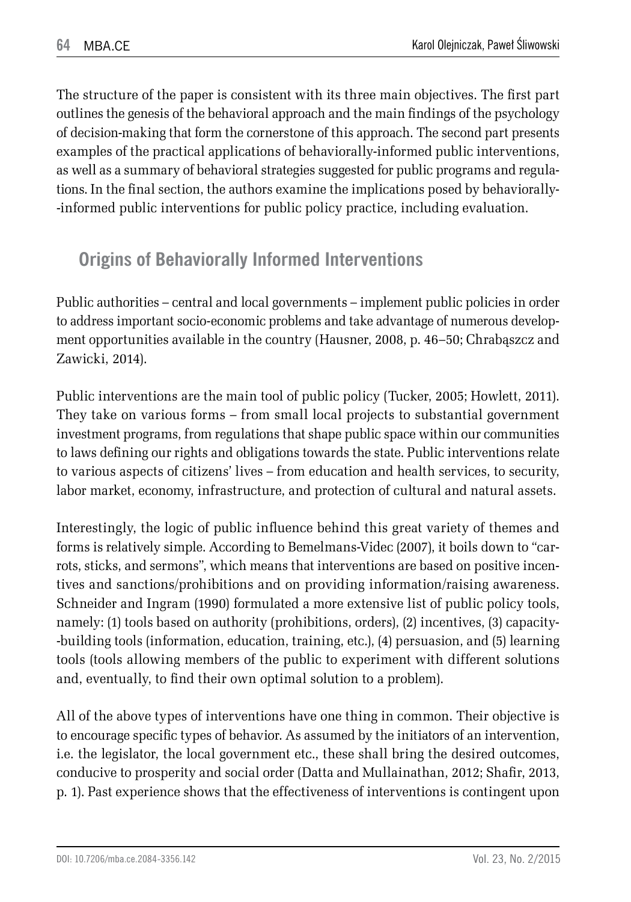The structure of the paper is consistent with its three main objectives. The first part outlines the genesis of the behavioral approach and the main findings of the psychology of decision-making that form the cornerstone of this approach. The second part presents examples of the practical applications of behaviorally-informed public interventions, as well as a summary of behavioral strategies suggested for public programs and regulations. In the final section, the authors examine the implications posed by behaviorally- -informed public interventions for public policy practice, including evaluation.

## **Origins of Behaviorally Informed Interventions**

Public authorities – central and local governments – implement public policies in order to address important socio-economic problems and take advantage of numerous development opportunities available in the country (Hausner, 2008, p. 46–50; Chrabąszcz and Zawicki, 2014).

Public interventions are the main tool of public policy (Tucker, 2005; Howlett, 2011). They take on various forms – from small local projects to substantial government investment programs, from regulations that shape public space within our communities to laws defining our rights and obligations towards the state. Public interventions relate to various aspects of citizens' lives – from education and health services, to security, labor market, economy, infrastructure, and protection of cultural and natural assets.

Interestingly, the logic of public influence behind this great variety of themes and forms is relatively simple. According to Bemelmans-Videc (2007), it boils down to "carrots, sticks, and sermons", which means that interventions are based on positive incentives and sanctions/prohibitions and on providing information/raising awareness. Schneider and Ingram (1990) formulated a more extensive list of public policy tools, namely: (1) tools based on authority (prohibitions, orders), (2) incentives, (3) capacity- -building tools (information, education, training, etc.), (4) persuasion, and (5) learning tools (tools allowing members of the public to experiment with different solutions and, eventually, to find their own optimal solution to a problem).

All of the above types of interventions have one thing in common. Their objective is to encourage specific types of behavior. As assumed by the initiators of an intervention, i.e. the legislator, the local government etc., these shall bring the desired outcomes, conducive to prosperity and social order (Datta and Mullainathan, 2012; Shafir, 2013, p. 1). Past experience shows that the effectiveness of interventions is contingent upon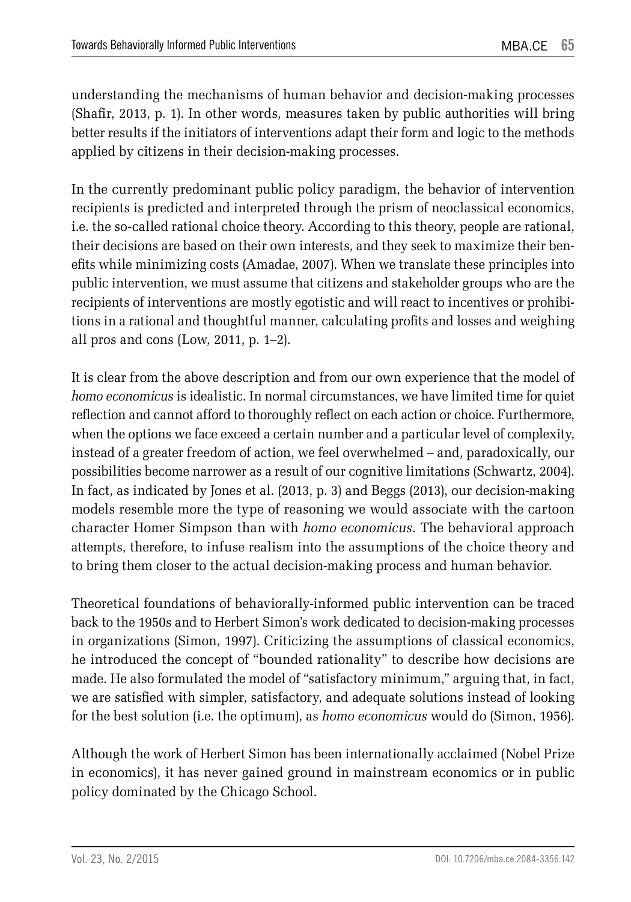understanding the mechanisms of human behavior and decision-making processes (Shafir, 2013, p. 1). In other words, measures taken by public authorities will bring better results if the initiators of interventions adapt their form and logic to the methods applied by citizens in their decision-making processes.

In the currently predominant public policy paradigm, the behavior of intervention recipients is predicted and interpreted through the prism of neoclassical economics, i.e. the so-called rational choice theory. According to this theory, people are rational, their decisions are based on their own interests, and they seek to maximize their benefits while minimizing costs (Amadae, 2007). When we translate these principles into public intervention, we must assume that citizens and stakeholder groups who are the recipients of interventions are mostly egotistic and will react to incentives or prohibitions in a rational and thoughtful manner, calculating profits and losses and weighing all pros and cons (Low, 2011, p. 1–2).

It is clear from the above description and from our own experience that the model of *homo economicus* is idealistic. In normal circumstances, we have limited time for quiet reflection and cannot afford to thoroughly reflect on each action or choice. Furthermore, when the options we face exceed a certain number and a particular level of complexity, instead of a greater freedom of action, we feel overwhelmed – and, paradoxically, our possibilities become narrower as a result of our cognitive limitations (Schwartz, 2004). In fact, as indicated by Jones et al. (2013, p. 3) and Beggs (2013), our decision-making models resemble more the type of reasoning we would associate with the cartoon character Homer Simpson than with *homo economicus*. The behavioral approach attempts, therefore, to infuse realism into the assumptions of the choice theory and to bring them closer to the actual decision-making process and human behavior.

Theoretical foundations of behaviorally-informed public intervention can be traced back to the 1950s and to Herbert Simon's work dedicated to decision-making processes in organizations (Simon, 1997). Criticizing the assumptions of classical economics, he introduced the concept of "bounded rationality" to describe how decisions are made. He also formulated the model of "satisfactory minimum," arguing that, in fact, we are satisfied with simpler, satisfactory, and adequate solutions instead of looking for the best solution (i.e. the optimum), as *homo economicus* would do (Simon, 1956).

Although the work of Herbert Simon has been internationally acclaimed (Nobel Prize in economics), it has never gained ground in mainstream economics or in public policy dominated by the Chicago School.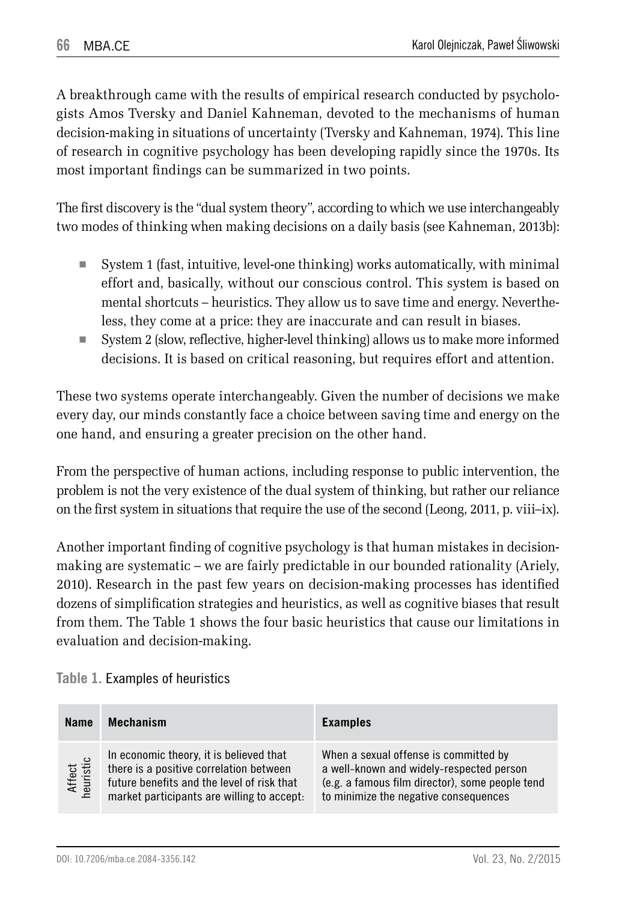A breakthrough came with the results of empirical research conducted by psychologists Amos Tversky and Daniel Kahneman, devoted to the mechanisms of human decision-making in situations of uncertainty (Tversky and Kahneman, 1974). This line of research in cognitive psychology has been developing rapidly since the 1970s. Its most important findings can be summarized in two points.

The first discovery is the "dual system theory", according to which we use interchangeably two modes of thinking when making decisions on a daily basis (see Kahneman, 2013b):

- System 1 (fast, intuitive, level-one thinking) works automatically, with minimal effort and, basically, without our conscious control. This system is based on mental shortcuts – heuristics. They allow us to save time and energy. Nevertheless, they come at a price: they are inaccurate and can result in biases.
- System 2 (slow, reflective, higher-level thinking) allows us to make more informed decisions. It is based on critical reasoning, but requires effort and attention.

These two systems operate interchangeably. Given the number of decisions we make every day, our minds constantly face a choice between saving time and energy on the one hand, and ensuring a greater precision on the other hand.

From the perspective of human actions, including response to public intervention, the problem is not the very existence of the dual system of thinking, but rather our reliance on the first system in situations that require the use of the second (Leong, 2011, p. viii–ix).

Another important finding of cognitive psychology is that human mistakes in decisionmaking are systematic – we are fairly predictable in our bounded rationality (Ariely, 2010). Research in the past few years on decision-making processes has identified dozens of simplification strategies and heuristics, as well as cognitive biases that result from them. The Table 1 shows the four basic heuristics that cause our limitations in evaluation and decision-making.

| <b>Name</b>         | <b>Mechanism</b>                                                                                                                                                               | <b>Examples</b>                                                                                                                                                               |
|---------------------|--------------------------------------------------------------------------------------------------------------------------------------------------------------------------------|-------------------------------------------------------------------------------------------------------------------------------------------------------------------------------|
| Affect<br>heuristic | In economic theory, it is believed that<br>there is a positive correlation between<br>future benefits and the level of risk that<br>market participants are willing to accept. | When a sexual offense is committed by<br>a well-known and widely-respected person<br>(e.g. a famous film director), some people tend<br>to minimize the negative consequences |

**Table 1.** Examples of heuristics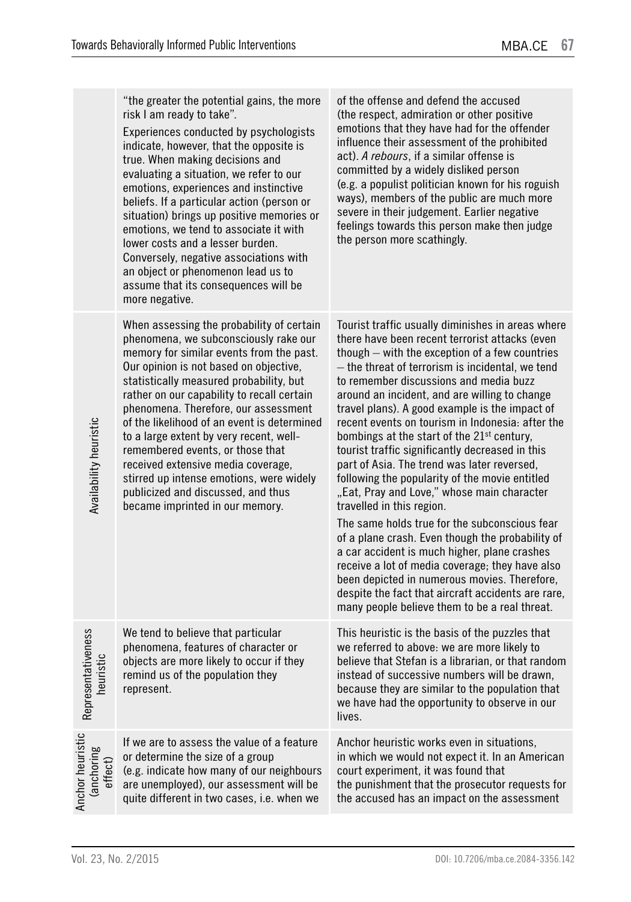|                                           | "the greater the potential gains, the more<br>risk I am ready to take".<br>Experiences conducted by psychologists<br>indicate, however, that the opposite is<br>true. When making decisions and<br>evaluating a situation, we refer to our<br>emotions, experiences and instinctive<br>beliefs. If a particular action (person or<br>situation) brings up positive memories or<br>emotions, we tend to associate it with<br>lower costs and a lesser burden.<br>Conversely, negative associations with<br>an object or phenomenon lead us to<br>assume that its consequences will be<br>more negative. | of the offense and defend the accused<br>(the respect, admiration or other positive<br>emotions that they have had for the offender<br>influence their assessment of the prohibited<br>act). A rebours, if a similar offense is<br>committed by a widely disliked person<br>(e.g. a populist politician known for his roguish<br>ways), members of the public are much more<br>severe in their judgement. Earlier negative<br>feelings towards this person make then judge<br>the person more scathingly.                                                                                                                                                                                                                                                                                                                                                                                                                                                                                                                                                          |
|-------------------------------------------|--------------------------------------------------------------------------------------------------------------------------------------------------------------------------------------------------------------------------------------------------------------------------------------------------------------------------------------------------------------------------------------------------------------------------------------------------------------------------------------------------------------------------------------------------------------------------------------------------------|--------------------------------------------------------------------------------------------------------------------------------------------------------------------------------------------------------------------------------------------------------------------------------------------------------------------------------------------------------------------------------------------------------------------------------------------------------------------------------------------------------------------------------------------------------------------------------------------------------------------------------------------------------------------------------------------------------------------------------------------------------------------------------------------------------------------------------------------------------------------------------------------------------------------------------------------------------------------------------------------------------------------------------------------------------------------|
| <b>Availability heuristic</b>             | When assessing the probability of certain<br>phenomena, we subconsciously rake our<br>memory for similar events from the past.<br>Our opinion is not based on objective,<br>statistically measured probability, but<br>rather on our capability to recall certain<br>phenomena. Therefore, our assessment<br>of the likelihood of an event is determined<br>to a large extent by very recent, well-<br>remembered events, or those that<br>received extensive media coverage,<br>stirred up intense emotions, were widely<br>publicized and discussed, and thus<br>became imprinted in our memory.     | Tourist traffic usually diminishes in areas where<br>there have been recent terrorist attacks (even<br>though – with the exception of a few countries<br>— the threat of terrorism is incidental, we tend<br>to remember discussions and media buzz<br>around an incident, and are willing to change<br>travel plans). A good example is the impact of<br>recent events on tourism in Indonesia: after the<br>bombings at the start of the 21 <sup>st</sup> century,<br>tourist traffic significantly decreased in this<br>part of Asia. The trend was later reversed,<br>following the popularity of the movie entitled<br>"Eat, Pray and Love," whose main character<br>travelled in this region.<br>The same holds true for the subconscious fear<br>of a plane crash. Even though the probability of<br>a car accident is much higher, plane crashes<br>receive a lot of media coverage; they have also<br>been depicted in numerous movies. Therefore,<br>despite the fact that aircraft accidents are rare,<br>many people believe them to be a real threat. |
| Representativeness<br>heuristic           | We tend to believe that particular<br>phenomena, features of character or<br>objects are more likely to occur if they<br>remind us of the population they<br>represent.                                                                                                                                                                                                                                                                                                                                                                                                                                | This heuristic is the basis of the puzzles that<br>we referred to above: we are more likely to<br>believe that Stefan is a librarian, or that random<br>instead of successive numbers will be drawn,<br>because they are similar to the population that<br>we have had the opportunity to observe in our<br>lives.                                                                                                                                                                                                                                                                                                                                                                                                                                                                                                                                                                                                                                                                                                                                                 |
| Anchor heuristic<br>(anchoring<br>effect) | If we are to assess the value of a feature<br>or determine the size of a group<br>(e.g. indicate how many of our neighbours<br>are unemployed), our assessment will be<br>quite different in two cases, i.e. when we                                                                                                                                                                                                                                                                                                                                                                                   | Anchor heuristic works even in situations,<br>in which we would not expect it. In an American<br>court experiment, it was found that<br>the punishment that the prosecutor requests for<br>the accused has an impact on the assessment                                                                                                                                                                                                                                                                                                                                                                                                                                                                                                                                                                                                                                                                                                                                                                                                                             |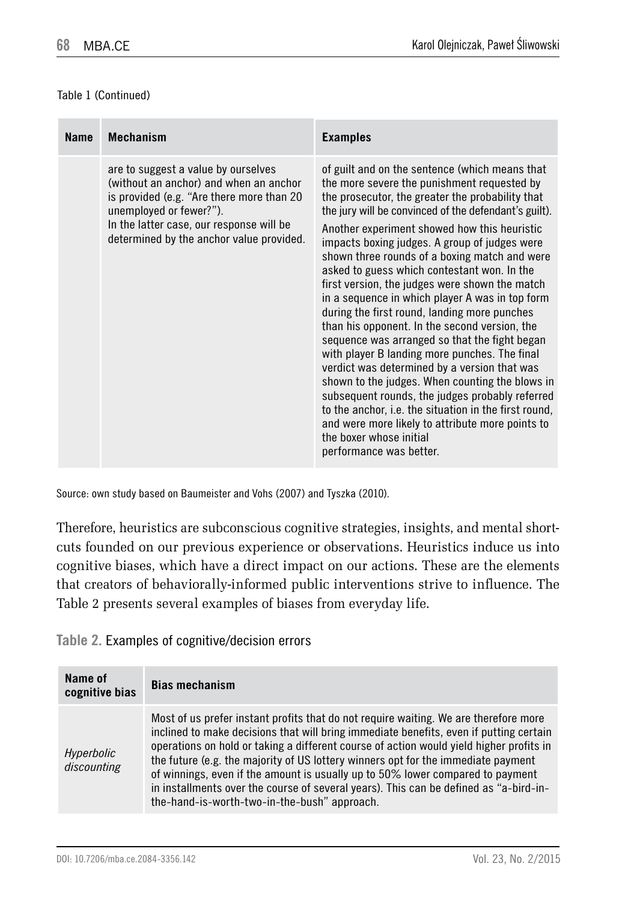#### Table 1 (Continued)

| <b>Name</b> | <b>Mechanism</b>                                                                                                                                                                                                                              | <b>Examples</b>                                                                                                                                                                                                                                                                                                                                                                                                                                                                                                                                                                                                                                                                                                                                                                                                                                                                                                                                                                                                                              |
|-------------|-----------------------------------------------------------------------------------------------------------------------------------------------------------------------------------------------------------------------------------------------|----------------------------------------------------------------------------------------------------------------------------------------------------------------------------------------------------------------------------------------------------------------------------------------------------------------------------------------------------------------------------------------------------------------------------------------------------------------------------------------------------------------------------------------------------------------------------------------------------------------------------------------------------------------------------------------------------------------------------------------------------------------------------------------------------------------------------------------------------------------------------------------------------------------------------------------------------------------------------------------------------------------------------------------------|
|             | are to suggest a value by ourselves<br>(without an anchor) and when an anchor<br>is provided (e.g. "Are there more than 20<br>unemployed or fewer?").<br>In the latter case, our response will be<br>determined by the anchor value provided. | of guilt and on the sentence (which means that<br>the more severe the punishment requested by<br>the prosecutor, the greater the probability that<br>the jury will be convinced of the defendant's guilt).<br>Another experiment showed how this heuristic<br>impacts boxing judges. A group of judges were<br>shown three rounds of a boxing match and were<br>asked to guess which contestant won. In the<br>first version, the judges were shown the match<br>in a sequence in which player A was in top form<br>during the first round, landing more punches<br>than his opponent. In the second version, the<br>sequence was arranged so that the fight began<br>with player B landing more punches. The final<br>verdict was determined by a version that was<br>shown to the judges. When counting the blows in<br>subsequent rounds, the judges probably referred<br>to the anchor, i.e. the situation in the first round,<br>and were more likely to attribute more points to<br>the boxer whose initial<br>performance was better. |

Source: own study based on Baumeister and Vohs (2007) and Tyszka (2010).

Therefore, heuristics are subconscious cognitive strategies, insights, and mental shortcuts founded on our previous experience or observations. Heuristics induce us into cognitive biases, which have a direct impact on our actions. These are the elements that creators of behaviorally-informed public interventions strive to influence. The Table 2 presents several examples of biases from everyday life.

**Table 2.** Examples of cognitive/decision errors

| Name of<br>cognitive bias | <b>Bias mechanism</b>                                                                                                                                                                                                                                                                                                                                                                                                                                                                                                                                                                     |  |
|---------------------------|-------------------------------------------------------------------------------------------------------------------------------------------------------------------------------------------------------------------------------------------------------------------------------------------------------------------------------------------------------------------------------------------------------------------------------------------------------------------------------------------------------------------------------------------------------------------------------------------|--|
| Hyperbolic<br>discounting | Most of us prefer instant profits that do not require waiting. We are therefore more<br>inclined to make decisions that will bring immediate benefits, even if putting certain<br>operations on hold or taking a different course of action would yield higher profits in<br>the future (e.g. the majority of US lottery winners opt for the immediate payment<br>of winnings, even if the amount is usually up to 50% lower compared to payment<br>in installments over the course of several years). This can be defined as "a-bird-in-<br>the-hand-is-worth-two-in-the-bush" approach. |  |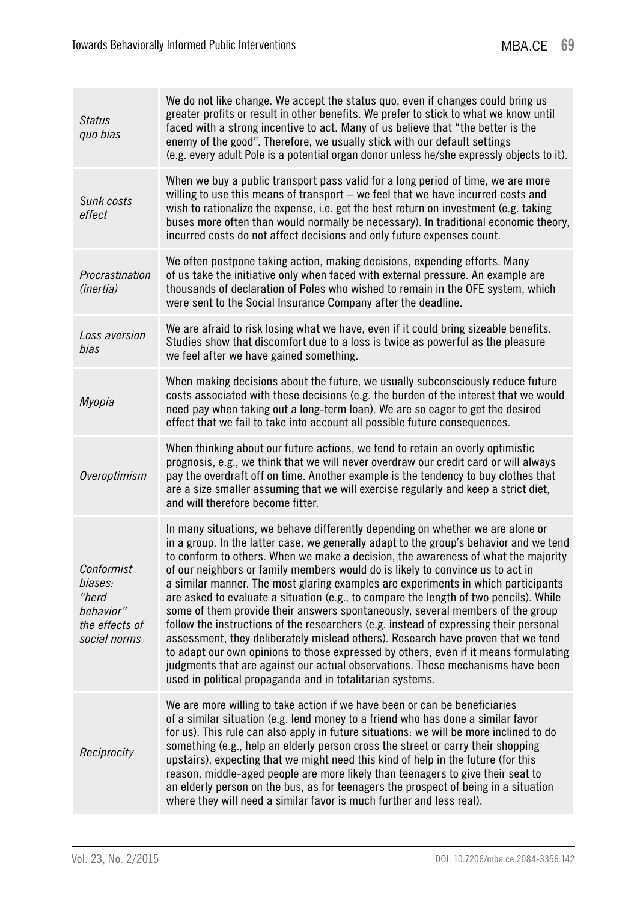| Status<br>quo bias                                                            | We do not like change. We accept the status quo, even if changes could bring us<br>greater profits or result in other benefits. We prefer to stick to what we know until<br>faced with a strong incentive to act. Many of us believe that "the better is the<br>enemy of the good". Therefore, we usually stick with our default settings<br>(e.g. every adult Pole is a potential organ donor unless he/she expressly objects to it).                                                                                                                                                                                                                                                                                                                                                                                                                                                                                                                                                                                              |
|-------------------------------------------------------------------------------|-------------------------------------------------------------------------------------------------------------------------------------------------------------------------------------------------------------------------------------------------------------------------------------------------------------------------------------------------------------------------------------------------------------------------------------------------------------------------------------------------------------------------------------------------------------------------------------------------------------------------------------------------------------------------------------------------------------------------------------------------------------------------------------------------------------------------------------------------------------------------------------------------------------------------------------------------------------------------------------------------------------------------------------|
| Sunk costs<br>effect                                                          | When we buy a public transport pass valid for a long period of time, we are more<br>willing to use this means of transport - we feel that we have incurred costs and<br>wish to rationalize the expense, i.e. get the best return on investment (e.g. taking<br>buses more often than would normally be necessary). In traditional economic theory,<br>incurred costs do not affect decisions and only future expenses count.                                                                                                                                                                                                                                                                                                                                                                                                                                                                                                                                                                                                       |
| Procrastination<br>(inertia)                                                  | We often postpone taking action, making decisions, expending efforts. Many<br>of us take the initiative only when faced with external pressure. An example are<br>thousands of declaration of Poles who wished to remain in the OFE system, which<br>were sent to the Social Insurance Company after the deadline.                                                                                                                                                                                                                                                                                                                                                                                                                                                                                                                                                                                                                                                                                                                  |
| Loss aversion<br>bias                                                         | We are afraid to risk losing what we have, even if it could bring sizeable benefits.<br>Studies show that discomfort due to a loss is twice as powerful as the pleasure<br>we feel after we have gained something.                                                                                                                                                                                                                                                                                                                                                                                                                                                                                                                                                                                                                                                                                                                                                                                                                  |
| Myopia                                                                        | When making decisions about the future, we usually subconsciously reduce future<br>costs associated with these decisions (e.g. the burden of the interest that we would<br>need pay when taking out a long-term loan). We are so eager to get the desired<br>effect that we fail to take into account all possible future consequences.                                                                                                                                                                                                                                                                                                                                                                                                                                                                                                                                                                                                                                                                                             |
| Overoptimism                                                                  | When thinking about our future actions, we tend to retain an overly optimistic<br>prognosis, e.g., we think that we will never overdraw our credit card or will always<br>pay the overdraft off on time. Another example is the tendency to buy clothes that<br>are a size smaller assuming that we will exercise regularly and keep a strict diet,<br>and will therefore become fitter.                                                                                                                                                                                                                                                                                                                                                                                                                                                                                                                                                                                                                                            |
| Conformist<br>biases:<br>"herd<br>behavior"<br>the effects of<br>social norms | In many situations, we behave differently depending on whether we are alone or<br>in a group. In the latter case, we generally adapt to the group's behavior and we tend<br>to conform to others. When we make a decision, the awareness of what the majority<br>of our neighbors or family members would do is likely to convince us to act in<br>a similar manner. The most glaring examples are experiments in which participants<br>are asked to evaluate a situation (e.g., to compare the length of two pencils). While<br>some of them provide their answers spontaneously, several members of the group<br>follow the instructions of the researchers (e.g. instead of expressing their personal<br>assessment, they deliberately mislead others). Research have proven that we tend<br>to adapt our own opinions to those expressed by others, even if it means formulating<br>judgments that are against our actual observations. These mechanisms have been<br>used in political propaganda and in totalitarian systems. |
| Reciprocity                                                                   | We are more willing to take action if we have been or can be beneficiaries<br>of a similar situation (e.g. lend money to a friend who has done a similar favor<br>for us). This rule can also apply in future situations: we will be more inclined to do<br>something (e.g., help an elderly person cross the street or carry their shopping<br>upstairs), expecting that we might need this kind of help in the future (for this<br>reason, middle-aged people are more likely than teenagers to give their seat to<br>an elderly person on the bus, as for teenagers the prospect of being in a situation<br>where they will need a similar favor is much further and less real).                                                                                                                                                                                                                                                                                                                                                 |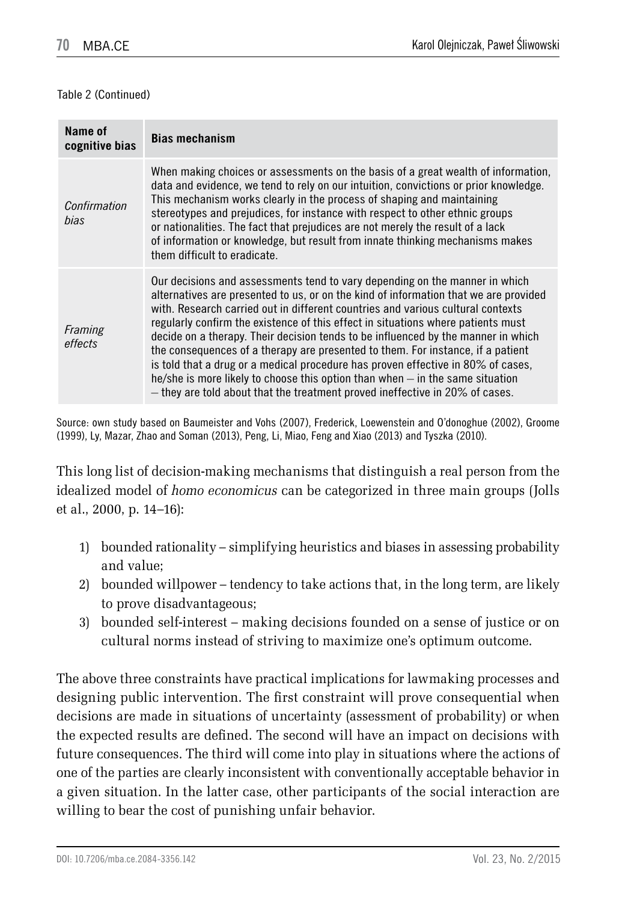#### Table 2 (Continued)

| Name of<br>cognitive bias | <b>Bias mechanism</b>                                                                                                                                                                                                                                                                                                                                                                                                                                                                                                                                                                                                                                                                                                                                                   |
|---------------------------|-------------------------------------------------------------------------------------------------------------------------------------------------------------------------------------------------------------------------------------------------------------------------------------------------------------------------------------------------------------------------------------------------------------------------------------------------------------------------------------------------------------------------------------------------------------------------------------------------------------------------------------------------------------------------------------------------------------------------------------------------------------------------|
| Confirmation<br>bias      | When making choices or assessments on the basis of a great wealth of information,<br>data and evidence, we tend to rely on our intuition, convictions or prior knowledge.<br>This mechanism works clearly in the process of shaping and maintaining<br>stereotypes and prejudices, for instance with respect to other ethnic groups<br>or nationalities. The fact that prejudices are not merely the result of a lack<br>of information or knowledge, but result from innate thinking mechanisms makes<br>them difficult to eradicate.                                                                                                                                                                                                                                  |
| Framing<br>effects        | Our decisions and assessments tend to vary depending on the manner in which<br>alternatives are presented to us, or on the kind of information that we are provided<br>with. Research carried out in different countries and various cultural contexts<br>regularly confirm the existence of this effect in situations where patients must<br>decide on a therapy. Their decision tends to be influenced by the manner in which<br>the consequences of a therapy are presented to them. For instance, if a patient<br>is told that a drug or a medical procedure has proven effective in 80% of cases.<br>he/she is more likely to choose this option than when – in the same situation<br>- they are told about that the treatment proved ineffective in 20% of cases. |

Source: own study based on Baumeister and Vohs (2007), Frederick, Loewenstein and O'donoghue (2002), Groome (1999), Ly, Mazar, Zhao and Soman (2013), Peng, Li, Miao, Feng and Xiao (2013) and Tyszka (2010).

This long list of decision-making mechanisms that distinguish a real person from the idealized model of *homo economicus* can be categorized in three main groups (Jolls et al., 2000, p. 14–16):

- 1) bounded rationality simplifying heuristics and biases in assessing probability and value;
- 2) bounded willpower tendency to take actions that, in the long term, are likely to prove disadvantageous;
- 3) bounded self-interest making decisions founded on a sense of justice or on cultural norms instead of striving to maximize one's optimum outcome.

The above three constraints have practical implications for lawmaking processes and designing public intervention. The first constraint will prove consequential when decisions are made in situations of uncertainty (assessment of probability) or when the expected results are defined. The second will have an impact on decisions with future consequences. The third will come into play in situations where the actions of one of the parties are clearly inconsistent with conventionally acceptable behavior in a given situation. In the latter case, other participants of the social interaction are willing to bear the cost of punishing unfair behavior.

DOI: 10.7206/mba.ce.2084-3356.142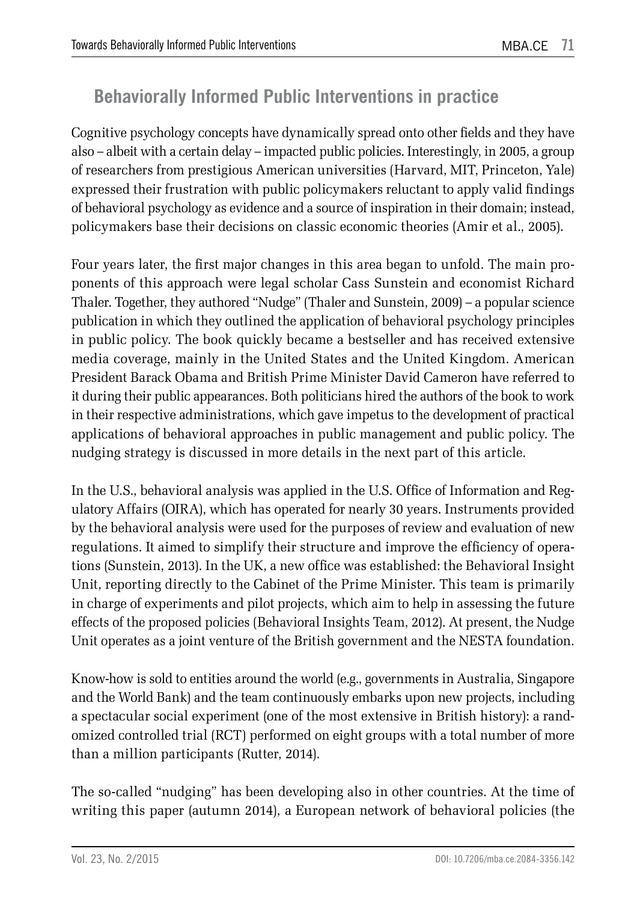## **Behaviorally Informed Public Interventions in practice**

Cognitive psychology concepts have dynamically spread onto other fields and they have also – albeit with a certain delay – impacted public policies. Interestingly, in 2005, a group of researchers from prestigious American universities (Harvard, MIT, Princeton, Yale) expressed their frustration with public policymakers reluctant to apply valid findings of behavioral psychology as evidence and a source of inspiration in their domain; instead, policymakers base their decisions on classic economic theories (Amir et al., 2005).

Four years later, the first major changes in this area began to unfold. The main proponents of this approach were legal scholar Cass Sunstein and economist Richard Thaler. Together, they authored "Nudge" (Thaler and Sunstein, 2009) – a popular science publication in which they outlined the application of behavioral psychology principles in public policy. The book quickly became a bestseller and has received extensive media coverage, mainly in the United States and the United Kingdom. American President Barack Obama and British Prime Minister David Cameron have referred to it during their public appearances. Both politicians hired the authors of the book to work in their respective administrations, which gave impetus to the development of practical applications of behavioral approaches in public management and public policy. The nudging strategy is discussed in more details in the next part of this article.

In the U.S., behavioral analysis was applied in the U.S. Office of Information and Regulatory Affairs (OIRA), which has operated for nearly 30 years. Instruments provided by the behavioral analysis were used for the purposes of review and evaluation of new regulations. It aimed to simplify their structure and improve the efficiency of operations (Sunstein, 2013). In the UK, a new office was established: the Behavioral Insight Unit, reporting directly to the Cabinet of the Prime Minister. This team is primarily in charge of experiments and pilot projects, which aim to help in assessing the future effects of the proposed policies (Behavioral Insights Team, 2012). At present, the Nudge Unit operates as a joint venture of the British government and the NESTA foundation.

Know-how is sold to entities around the world (e.g., governments in Australia, Singapore and the World Bank) and the team continuously embarks upon new projects, including a spectacular social experiment (one of the most extensive in British history): a randomized controlled trial (RCT) performed on eight groups with a total number of more than a million participants (Rutter, 2014).

The so-called "nudging" has been developing also in other countries. At the time of writing this paper (autumn 2014), a European network of behavioral policies (the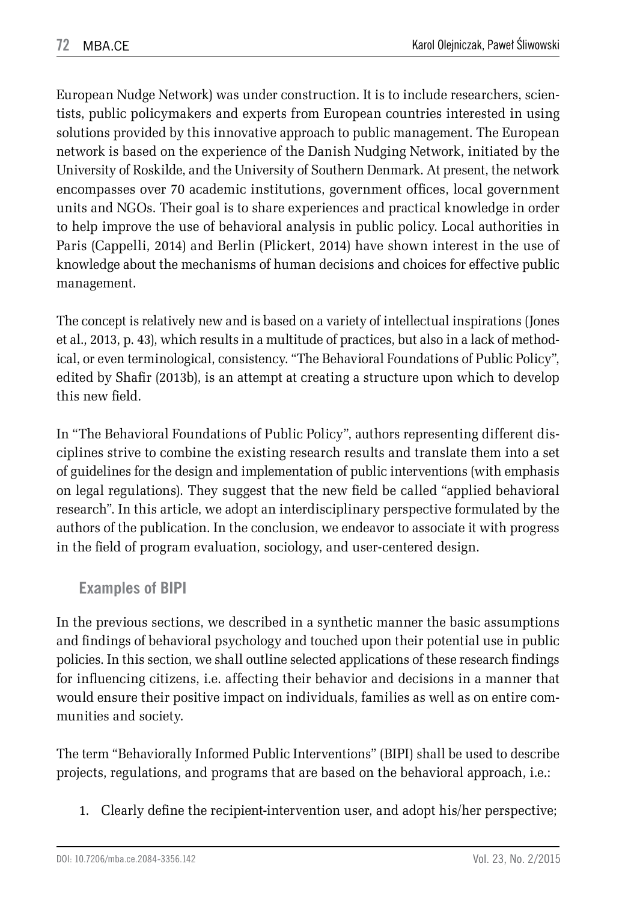European Nudge Network) was under construction. It is to include researchers, scientists, public policymakers and experts from European countries interested in using solutions provided by this innovative approach to public management. The European network is based on the experience of the Danish Nudging Network, initiated by the University of Roskilde, and the University of Southern Denmark. At present, the network encompasses over 70 academic institutions, government offices, local government units and NGOs. Their goal is to share experiences and practical knowledge in order to help improve the use of behavioral analysis in public policy. Local authorities in Paris (Cappelli, 2014) and Berlin (Plickert, 2014) have shown interest in the use of knowledge about the mechanisms of human decisions and choices for effective public management.

The concept is relatively new and is based on a variety of intellectual inspirations (Jones et al., 2013, p. 43), which results in a multitude of practices, but also in a lack of methodical, or even terminological, consistency. "The Behavioral Foundations of Public Policy", edited by Shafir (2013b), is an attempt at creating a structure upon which to develop this new field.

In "The Behavioral Foundations of Public Policy", authors representing different disciplines strive to combine the existing research results and translate them into a set of guidelines for the design and implementation of public interventions (with emphasis on legal regulations). They suggest that the new field be called "applied behavioral research". In this article, we adopt an interdisciplinary perspective formulated by the authors of the publication. In the conclusion, we endeavor to associate it with progress in the field of program evaluation, sociology, and user-centered design.

### **Examples of BIPI**

In the previous sections, we described in a synthetic manner the basic assumptions and findings of behavioral psychology and touched upon their potential use in public policies. In this section, we shall outline selected applications of these research findings for influencing citizens, i.e. affecting their behavior and decisions in a manner that would ensure their positive impact on individuals, families as well as on entire communities and society.

The term "Behaviorally Informed Public Interventions" (BIPI) shall be used to describe projects, regulations, and programs that are based on the behavioral approach, i.e.:

1. Clearly define the recipient-intervention user, and adopt his/her perspective;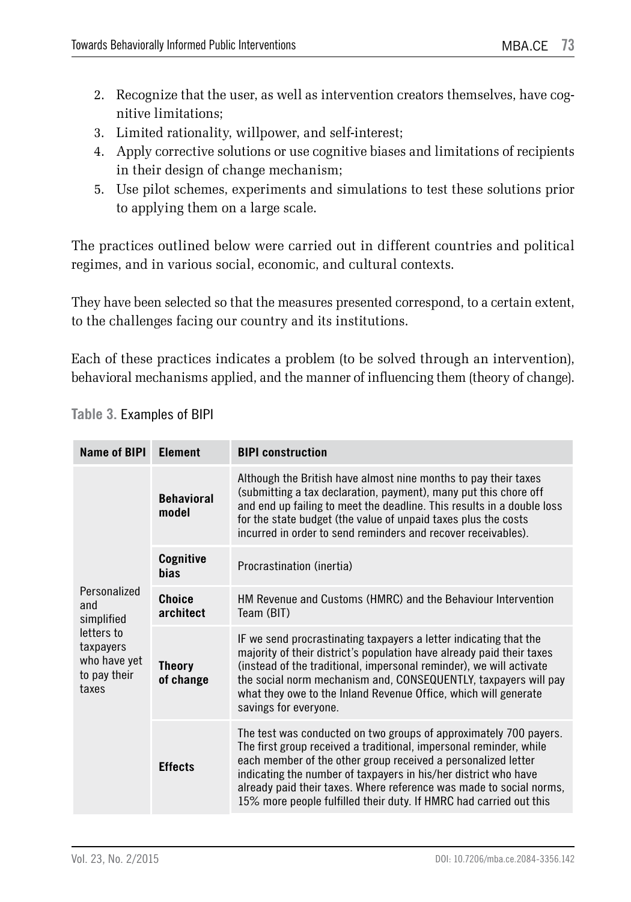- 2. Recognize that the user, as well as intervention creators themselves, have cognitive limitations;
- 3. Limited rationality, willpower, and self-interest;
- 4. Apply corrective solutions or use cognitive biases and limitations of recipients in their design of change mechanism;
- 5. Use pilot schemes, experiments and simulations to test these solutions prior to applying them on a large scale.

The practices outlined below were carried out in different countries and political regimes, and in various social, economic, and cultural contexts.

They have been selected so that the measures presented correspond, to a certain extent, to the challenges facing our country and its institutions.

Each of these practices indicates a problem (to be solved through an intervention), behavioral mechanisms applied, and the manner of influencing them (theory of change).

| Name of BIPI                                                     | <b>Element</b>             | <b>BIPI</b> construction                                                                                                                                                                                                                                                                                                                                                                                                 |
|------------------------------------------------------------------|----------------------------|--------------------------------------------------------------------------------------------------------------------------------------------------------------------------------------------------------------------------------------------------------------------------------------------------------------------------------------------------------------------------------------------------------------------------|
|                                                                  | <b>Behavioral</b><br>model | Although the British have almost nine months to pay their taxes<br>(submitting a tax declaration, payment), many put this chore off<br>and end up failing to meet the deadline. This results in a double loss<br>for the state budget (the value of unpaid taxes plus the costs<br>incurred in order to send reminders and recover receivables).                                                                         |
|                                                                  | Cognitive<br><b>bias</b>   | Procrastination (inertia)                                                                                                                                                                                                                                                                                                                                                                                                |
| Personalized<br>and<br>simplified                                | Choice<br>architect        | HM Revenue and Customs (HMRC) and the Behaviour Intervention<br>Team (BIT)                                                                                                                                                                                                                                                                                                                                               |
| letters to<br>taxpayers<br>who have yet<br>to pay their<br>taxes | <b>Theory</b><br>of change | IF we send procrastinating taxpayers a letter indicating that the<br>majority of their district's population have already paid their taxes<br>(instead of the traditional, impersonal reminder), we will activate<br>the social norm mechanism and, CONSEQUENTLY, taxpayers will pay<br>what they owe to the Inland Revenue Office, which will generate<br>savings for everyone.                                         |
|                                                                  | <b>Effects</b>             | The test was conducted on two groups of approximately 700 payers.<br>The first group received a traditional, impersonal reminder, while<br>each member of the other group received a personalized letter<br>indicating the number of taxpayers in his/her district who have<br>already paid their taxes. Where reference was made to social norms,<br>15% more people fulfilled their duty. If HMRC had carried out this |

**Table 3.** Examples of BIPI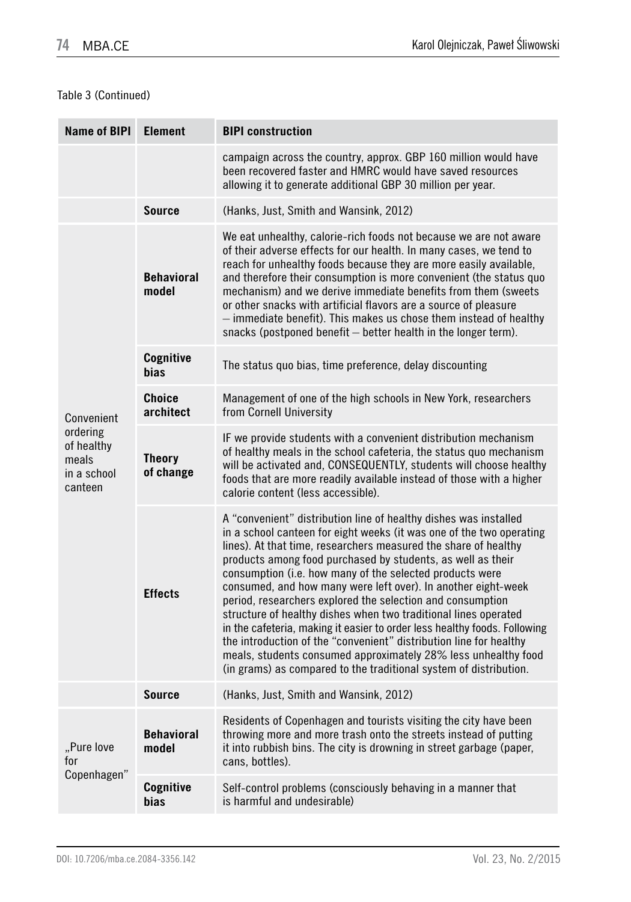×.

### Table 3 (Continued)

m.

| <b>Name of BIPI</b>                                       | <b>Element</b>             | <b>BIPI construction</b>                                                                                                                                                                                                                                                                                                                                                                                                                                                                                                                                                                                                                                                                                                                                                                                                           |  |
|-----------------------------------------------------------|----------------------------|------------------------------------------------------------------------------------------------------------------------------------------------------------------------------------------------------------------------------------------------------------------------------------------------------------------------------------------------------------------------------------------------------------------------------------------------------------------------------------------------------------------------------------------------------------------------------------------------------------------------------------------------------------------------------------------------------------------------------------------------------------------------------------------------------------------------------------|--|
|                                                           |                            | campaign across the country, approx. GBP 160 million would have<br>been recovered faster and HMRC would have saved resources<br>allowing it to generate additional GBP 30 million per year.                                                                                                                                                                                                                                                                                                                                                                                                                                                                                                                                                                                                                                        |  |
|                                                           | Source                     | (Hanks, Just, Smith and Wansink, 2012)                                                                                                                                                                                                                                                                                                                                                                                                                                                                                                                                                                                                                                                                                                                                                                                             |  |
|                                                           | <b>Behavioral</b><br>model | We eat unhealthy, calorie-rich foods not because we are not aware<br>of their adverse effects for our health. In many cases, we tend to<br>reach for unhealthy foods because they are more easily available,<br>and therefore their consumption is more convenient (the status quo<br>mechanism) and we derive immediate benefits from them (sweets<br>or other snacks with artificial flavors are a source of pleasure<br>- immediate benefit). This makes us chose them instead of healthy<br>snacks (postponed benefit – better health in the longer term).                                                                                                                                                                                                                                                                     |  |
|                                                           | Cognitive<br>bias          | The status quo bias, time preference, delay discounting                                                                                                                                                                                                                                                                                                                                                                                                                                                                                                                                                                                                                                                                                                                                                                            |  |
| Convenient                                                | Choice<br>architect        | Management of one of the high schools in New York, researchers<br>from Cornell University                                                                                                                                                                                                                                                                                                                                                                                                                                                                                                                                                                                                                                                                                                                                          |  |
| ordering<br>of healthy<br>meals<br>in a school<br>canteen | Theory<br>of change        | IF we provide students with a convenient distribution mechanism<br>of healthy meals in the school cafeteria, the status quo mechanism<br>will be activated and, CONSEQUENTLY, students will choose healthy<br>foods that are more readily available instead of those with a higher<br>calorie content (less accessible).                                                                                                                                                                                                                                                                                                                                                                                                                                                                                                           |  |
|                                                           | <b>Effects</b>             | A "convenient" distribution line of healthy dishes was installed<br>in a school canteen for eight weeks (it was one of the two operating<br>lines). At that time, researchers measured the share of healthy<br>products among food purchased by students, as well as their<br>consumption (i.e. how many of the selected products were<br>consumed, and how many were left over). In another eight-week<br>period, researchers explored the selection and consumption<br>structure of healthy dishes when two traditional lines operated<br>in the cafeteria, making it easier to order less healthy foods. Following<br>the introduction of the "convenient" distribution line for healthy<br>meals, students consumed approximately 28% less unhealthy food<br>(in grams) as compared to the traditional system of distribution. |  |
|                                                           | <b>Source</b>              | (Hanks, Just, Smith and Wansink, 2012)                                                                                                                                                                                                                                                                                                                                                                                                                                                                                                                                                                                                                                                                                                                                                                                             |  |
| "Pure love<br>for                                         | <b>Behavioral</b><br>model | Residents of Copenhagen and tourists visiting the city have been<br>throwing more and more trash onto the streets instead of putting<br>it into rubbish bins. The city is drowning in street garbage (paper,<br>cans, bottles).                                                                                                                                                                                                                                                                                                                                                                                                                                                                                                                                                                                                    |  |
| Copenhagen"                                               | <b>Cognitive</b><br>bias   | Self-control problems (consciously behaving in a manner that<br>is harmful and undesirable)                                                                                                                                                                                                                                                                                                                                                                                                                                                                                                                                                                                                                                                                                                                                        |  |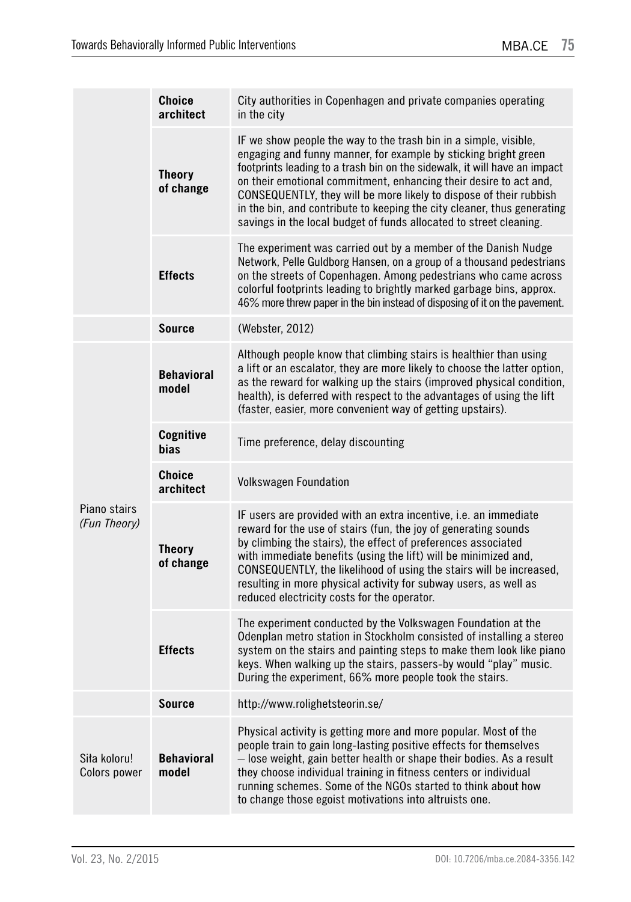|                              | <b>Choice</b><br>architect | City authorities in Copenhagen and private companies operating<br>in the city                                                                                                                                                                                                                                                                                                                                                                                                                                |
|------------------------------|----------------------------|--------------------------------------------------------------------------------------------------------------------------------------------------------------------------------------------------------------------------------------------------------------------------------------------------------------------------------------------------------------------------------------------------------------------------------------------------------------------------------------------------------------|
|                              | <b>Theory</b><br>of change | IF we show people the way to the trash bin in a simple, visible,<br>engaging and funny manner, for example by sticking bright green<br>footprints leading to a trash bin on the sidewalk, it will have an impact<br>on their emotional commitment, enhancing their desire to act and,<br>CONSEQUENTLY, they will be more likely to dispose of their rubbish<br>in the bin, and contribute to keeping the city cleaner, thus generating<br>savings in the local budget of funds allocated to street cleaning. |
|                              | <b>Effects</b>             | The experiment was carried out by a member of the Danish Nudge<br>Network, Pelle Guldborg Hansen, on a group of a thousand pedestrians<br>on the streets of Copenhagen. Among pedestrians who came across<br>colorful footprints leading to brightly marked garbage bins, approx.<br>46% more threw paper in the bin instead of disposing of it on the pavement.                                                                                                                                             |
|                              | <b>Source</b>              | (Webster, 2012)                                                                                                                                                                                                                                                                                                                                                                                                                                                                                              |
|                              | <b>Behavioral</b><br>model | Although people know that climbing stairs is healthier than using<br>a lift or an escalator, they are more likely to choose the latter option,<br>as the reward for walking up the stairs (improved physical condition,<br>health), is deferred with respect to the advantages of using the lift<br>(faster, easier, more convenient way of getting upstairs).                                                                                                                                               |
|                              | Cognitive<br>bias          | Time preference, delay discounting                                                                                                                                                                                                                                                                                                                                                                                                                                                                           |
|                              | <b>Choice</b><br>architect | <b>Volkswagen Foundation</b>                                                                                                                                                                                                                                                                                                                                                                                                                                                                                 |
| Piano stairs<br>(Fun Theory) | <b>Theory</b><br>of change | IF users are provided with an extra incentive, i.e. an immediate<br>reward for the use of stairs (fun, the joy of generating sounds<br>by climbing the stairs), the effect of preferences associated<br>with immediate benefits (using the lift) will be minimized and,<br>CONSEQUENTLY, the likelihood of using the stairs will be increased,<br>resulting in more physical activity for subway users, as well as<br>reduced electricity costs for the operator.                                            |
|                              | <b>Effects</b>             | The experiment conducted by the Volkswagen Foundation at the<br>Odenplan metro station in Stockholm consisted of installing a stereo<br>system on the stairs and painting steps to make them look like piano<br>keys. When walking up the stairs, passers-by would "play" music.<br>During the experiment, 66% more people took the stairs.                                                                                                                                                                  |
|                              | <b>Source</b>              | http://www.rolighetsteorin.se/                                                                                                                                                                                                                                                                                                                                                                                                                                                                               |
| Siła koloru!<br>Colors power | <b>Behavioral</b><br>model | Physical activity is getting more and more popular. Most of the<br>people train to gain long-lasting positive effects for themselves<br>- lose weight, gain better health or shape their bodies. As a result<br>they choose individual training in fitness centers or individual<br>running schemes. Some of the NGOs started to think about how<br>to change those egoist motivations into altruists one.                                                                                                   |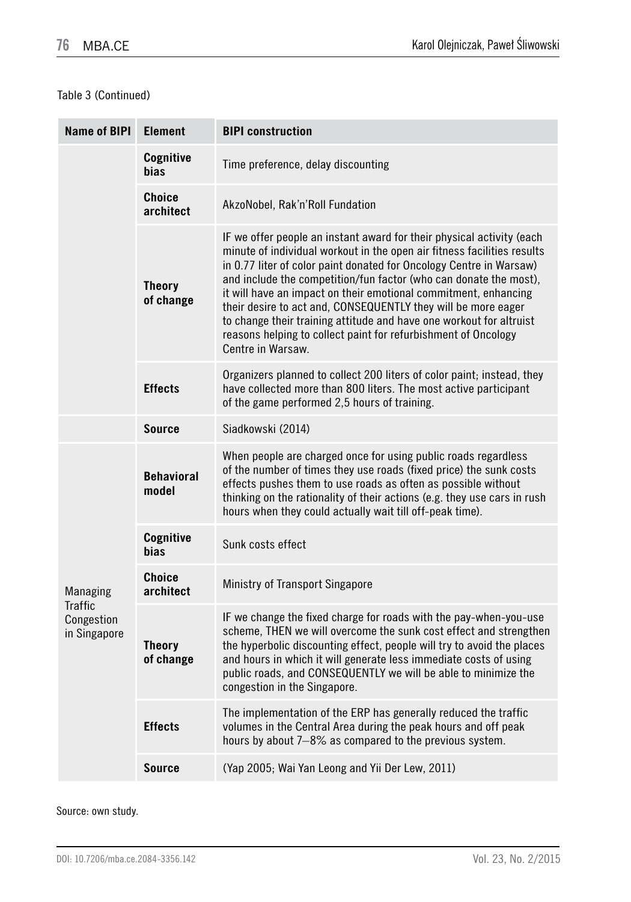### Table 3 (Continued)

| <b>Name of BIPI</b>                          | <b>Element</b>             | <b>BIPI</b> construction                                                                                                                                                                                                                                                                                                                                                                                                                                                                                                                                                                       |
|----------------------------------------------|----------------------------|------------------------------------------------------------------------------------------------------------------------------------------------------------------------------------------------------------------------------------------------------------------------------------------------------------------------------------------------------------------------------------------------------------------------------------------------------------------------------------------------------------------------------------------------------------------------------------------------|
|                                              | Cognitive<br>bias          | Time preference, delay discounting                                                                                                                                                                                                                                                                                                                                                                                                                                                                                                                                                             |
|                                              | <b>Choice</b><br>architect | AkzoNobel, Rak'n'Roll Fundation                                                                                                                                                                                                                                                                                                                                                                                                                                                                                                                                                                |
|                                              | <b>Theory</b><br>of change | IF we offer people an instant award for their physical activity (each<br>minute of individual workout in the open air fitness facilities results<br>in 0.77 liter of color paint donated for Oncology Centre in Warsaw)<br>and include the competition/fun factor (who can donate the most),<br>it will have an impact on their emotional commitment, enhancing<br>their desire to act and, CONSEQUENTLY they will be more eager<br>to change their training attitude and have one workout for altruist<br>reasons helping to collect paint for refurbishment of Oncology<br>Centre in Warsaw. |
|                                              | <b>Effects</b>             | Organizers planned to collect 200 liters of color paint; instead, they<br>have collected more than 800 liters. The most active participant<br>of the game performed 2,5 hours of training.                                                                                                                                                                                                                                                                                                                                                                                                     |
|                                              | Source                     | Siadkowski (2014)                                                                                                                                                                                                                                                                                                                                                                                                                                                                                                                                                                              |
|                                              | <b>Behavioral</b><br>model | When people are charged once for using public roads regardless<br>of the number of times they use roads (fixed price) the sunk costs<br>effects pushes them to use roads as often as possible without<br>thinking on the rationality of their actions (e.g. they use cars in rush<br>hours when they could actually wait till off-peak time).                                                                                                                                                                                                                                                  |
|                                              | Cognitive<br>bias          | Sunk costs effect                                                                                                                                                                                                                                                                                                                                                                                                                                                                                                                                                                              |
| Managing                                     | Choice<br>architect        | Ministry of Transport Singapore                                                                                                                                                                                                                                                                                                                                                                                                                                                                                                                                                                |
| <b>Traffic</b><br>Congestion<br>in Singapore | <b>Theory</b><br>of change | IF we change the fixed charge for roads with the pay-when-you-use<br>scheme, THEN we will overcome the sunk cost effect and strengthen<br>the hyperbolic discounting effect, people will try to avoid the places<br>and hours in which it will generate less immediate costs of using<br>public roads, and CONSEQUENTLY we will be able to minimize the<br>congestion in the Singapore.                                                                                                                                                                                                        |
|                                              | <b>Effects</b>             | The implementation of the ERP has generally reduced the traffic<br>volumes in the Central Area during the peak hours and off peak<br>hours by about 7-8% as compared to the previous system.                                                                                                                                                                                                                                                                                                                                                                                                   |
|                                              | Source                     | (Yap 2005; Wai Yan Leong and Yii Der Lew, 2011)                                                                                                                                                                                                                                                                                                                                                                                                                                                                                                                                                |

Source: own study.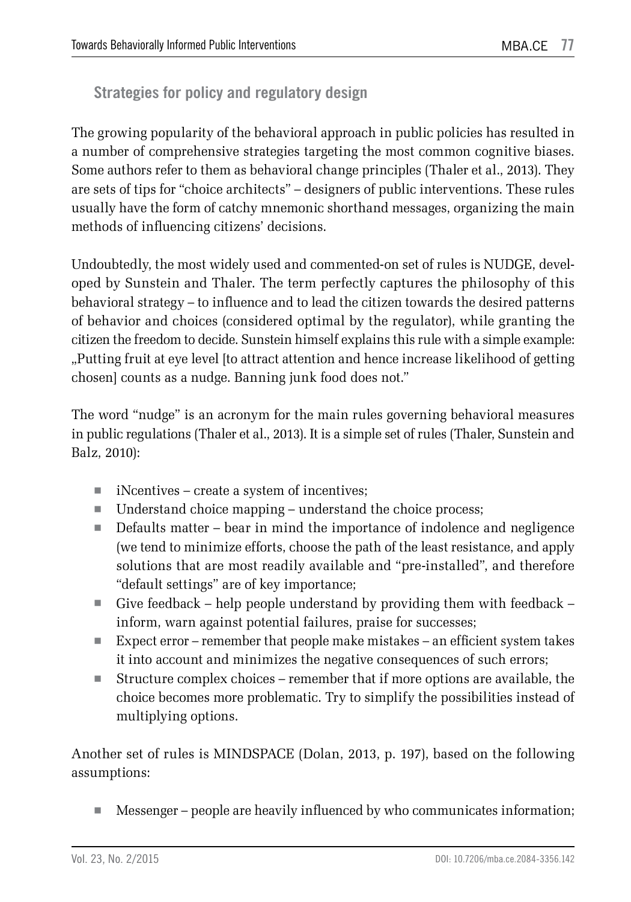### **Strategies for policy and regulatory design**

The growing popularity of the behavioral approach in public policies has resulted in a number of comprehensive strategies targeting the most common cognitive biases. Some authors refer to them as behavioral change principles (Thaler et al., 2013). They are sets of tips for "choice architects" – designers of public interventions. These rules usually have the form of catchy mnemonic shorthand messages, organizing the main methods of influencing citizens' decisions.

Undoubtedly, the most widely used and commented-on set of rules is NUDGE, developed by Sunstein and Thaler. The term perfectly captures the philosophy of this behavioral strategy – to influence and to lead the citizen towards the desired patterns of behavior and choices (considered optimal by the regulator), while granting the citizen the freedom to decide. Sunstein himself explains this rule with a simple example: "Putting fruit at eye level [to attract attention and hence increase likelihood of getting chosen] counts as a nudge. Banning junk food does not."

The word "nudge" is an acronym for the main rules governing behavioral measures in public regulations (Thaler et al., 2013). It is a simple set of rules (Thaler, Sunstein and Balz, 2010):

- $\blacksquare$  iNcentives create a system of incentives;
- Understand choice mapping understand the choice process;
- Defaults matter bear in mind the importance of indolence and negligence (we tend to minimize efforts, choose the path of the least resistance, and apply solutions that are most readily available and "pre-installed", and therefore "default settings" are of key importance;
- Give feedback help people understand by providing them with feedback inform, warn against potential failures, praise for successes;
- Expect error remember that people make mistakes an efficient system takes it into account and minimizes the negative consequences of such errors;
- Structure complex choices remember that if more options are available, the choice becomes more problematic. Try to simplify the possibilities instead of multiplying options.

Another set of rules is MINDSPACE (Dolan, 2013, p. 197), based on the following assumptions:

 $\blacksquare$  Messenger – people are heavily influenced by who communicates information;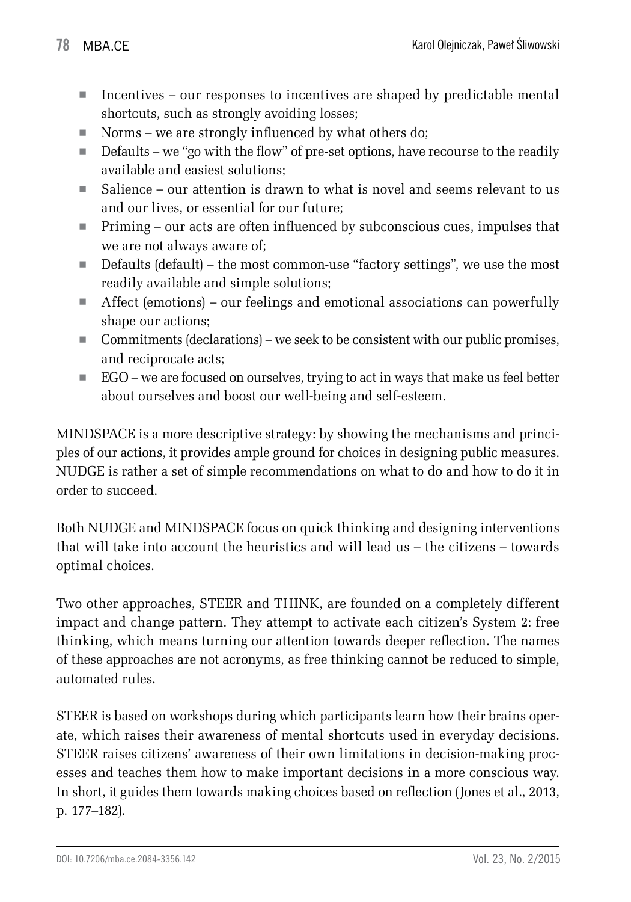- $\blacksquare$  Incentives our responses to incentives are shaped by predictable mental shortcuts, such as strongly avoiding losses;
- Norms we are strongly influenced by what others do;
- $\blacksquare$  Defaults we "go with the flow" of pre-set options, have recourse to the readily available and easiest solutions;
- $\blacksquare$  Salience our attention is drawn to what is novel and seems relevant to us and our lives, or essential for our future;
- Priming our acts are often influenced by subconscious cues, impulses that we are not always aware of;
- Defaults (default) the most common-use "factory settings", we use the most readily available and simple solutions;
- $\blacksquare$  Affect (emotions) our feelings and emotional associations can powerfully shape our actions;
- Commitments (declarations) we seek to be consistent with our public promises, and reciprocate acts;
- EGO we are focused on ourselves, trying to act in ways that make us feel better about ourselves and boost our well-being and self-esteem.

MINDSPACE is a more descriptive strategy: by showing the mechanisms and principles of our actions, it provides ample ground for choices in designing public measures. NUDGE is rather a set of simple recommendations on what to do and how to do it in order to succeed.

Both NUDGE and MINDSPACE focus on quick thinking and designing interventions that will take into account the heuristics and will lead us – the citizens – towards optimal choices.

Two other approaches, STEER and THINK, are founded on a completely different impact and change pattern. They attempt to activate each citizen's System 2: free thinking, which means turning our attention towards deeper reflection. The names of these approaches are not acronyms, as free thinking cannot be reduced to simple, automated rules.

STEER is based on workshops during which participants learn how their brains operate, which raises their awareness of mental shortcuts used in everyday decisions. STEER raises citizens' awareness of their own limitations in decision-making processes and teaches them how to make important decisions in a more conscious way. In short, it guides them towards making choices based on reflection (Jones et al., 2013, p. 177–182).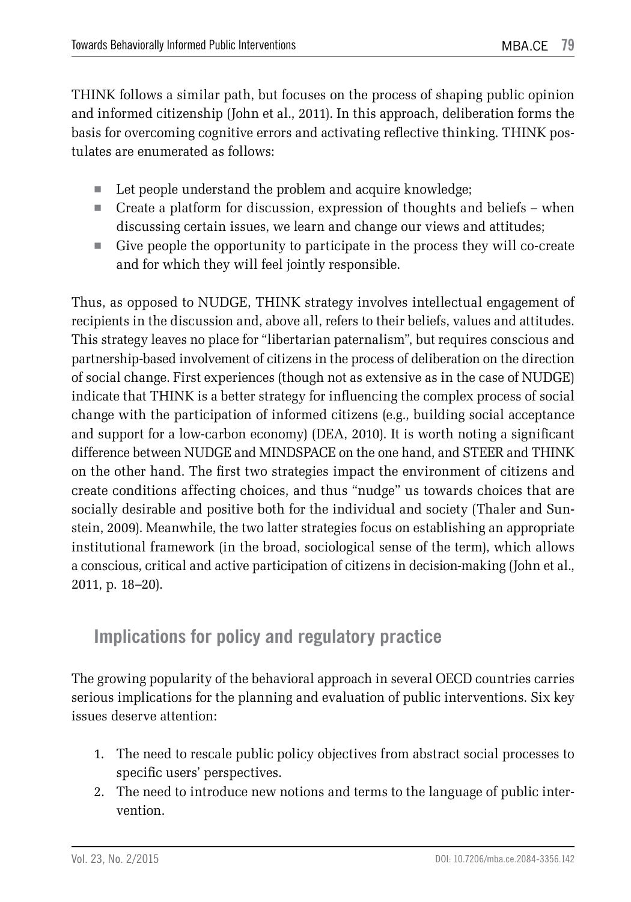THINK follows a similar path, but focuses on the process of shaping public opinion and informed citizenship (John et al., 2011). In this approach, deliberation forms the basis for overcoming cognitive errors and activating reflective thinking. THINK postulates are enumerated as follows:

- Let people understand the problem and acquire knowledge;
- $\blacksquare$  Create a platform for discussion, expression of thoughts and beliefs when discussing certain issues, we learn and change our views and attitudes;
- Give people the opportunity to participate in the process they will co-create and for which they will feel jointly responsible.

Thus, as opposed to NUDGE, THINK strategy involves intellectual engagement of recipients in the discussion and, above all, refers to their beliefs, values and attitudes. This strategy leaves no place for "libertarian paternalism", but requires conscious and partnership-based involvement of citizens in the process of deliberation on the direction of social change. First experiences (though not as extensive as in the case of NUDGE) indicate that THINK is a better strategy for influencing the complex process of social change with the participation of informed citizens (e.g., building social acceptance and support for a low-carbon economy) (DEA, 2010). It is worth noting a significant difference between NUDGE and MINDSPACE on the one hand, and STEER and THINK on the other hand. The first two strategies impact the environment of citizens and create conditions affecting choices, and thus "nudge" us towards choices that are socially desirable and positive both for the individual and society (Thaler and Sunstein, 2009). Meanwhile, the two latter strategies focus on establishing an appropriate institutional framework (in the broad, sociological sense of the term), which allows a conscious, critical and active participation of citizens in decision-making (John et al., 2011, p. 18–20).

## **Implications for policy and regulatory practice**

The growing popularity of the behavioral approach in several OECD countries carries serious implications for the planning and evaluation of public interventions. Six key issues deserve attention:

- 1. The need to rescale public policy objectives from abstract social processes to specific users' perspectives.
- 2. The need to introduce new notions and terms to the language of public intervention.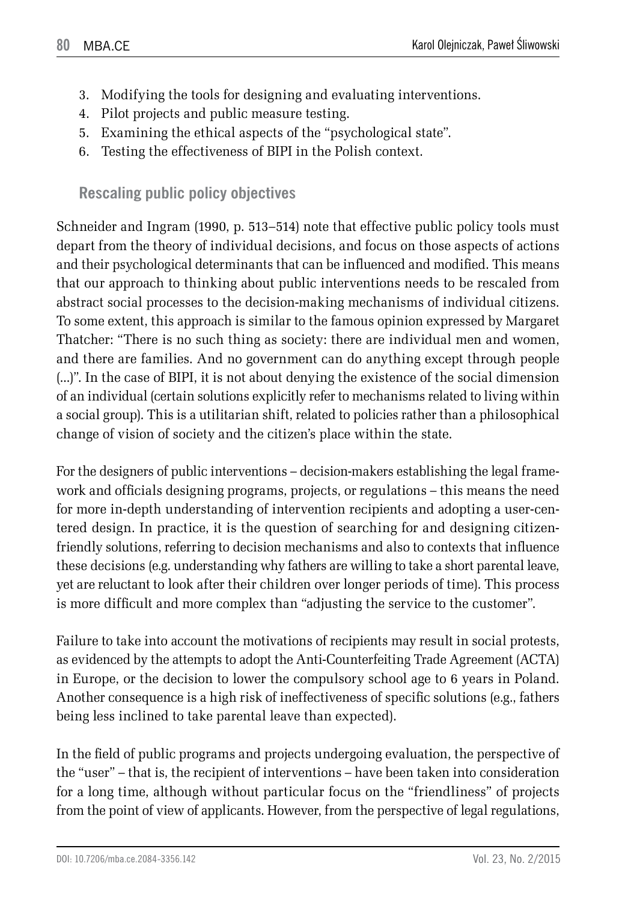- 3. Modifying the tools for designing and evaluating interventions.
- 4. Pilot projects and public measure testing.
- 5. Examining the ethical aspects of the "psychological state".
- 6. Testing the effectiveness of BIPI in the Polish context.

**Rescaling public policy objectives**

Schneider and Ingram (1990, p. 513–514) note that effective public policy tools must depart from the theory of individual decisions, and focus on those aspects of actions and their psychological determinants that can be influenced and modified. This means that our approach to thinking about public interventions needs to be rescaled from abstract social processes to the decision-making mechanisms of individual citizens. To some extent, this approach is similar to the famous opinion expressed by Margaret Thatcher: "There is no such thing as society: there are individual men and women, and there are families. And no government can do anything except through people (...)". In the case of BIPI, it is not about denying the existence of the social dimension of an individual (certain solutions explicitly refer to mechanisms related to living within a social group). This is a utilitarian shift, related to policies rather than a philosophical change of vision of society and the citizen's place within the state.

For the designers of public interventions – decision-makers establishing the legal framework and officials designing programs, projects, or regulations – this means the need for more in-depth understanding of intervention recipients and adopting a user-centered design. In practice, it is the question of searching for and designing citizenfriendly solutions, referring to decision mechanisms and also to contexts that influence these decisions (e.g. understanding why fathers are willing to take a short parental leave, yet are reluctant to look after their children over longer periods of time). This process is more difficult and more complex than "adjusting the service to the customer".

Failure to take into account the motivations of recipients may result in social protests, as evidenced by the attempts to adopt the Anti-Counterfeiting Trade Agreement (ACTA) in Europe, or the decision to lower the compulsory school age to 6 years in Poland. Another consequence is a high risk of ineffectiveness of specific solutions (e.g., fathers being less inclined to take parental leave than expected).

In the field of public programs and projects undergoing evaluation, the perspective of the "user" – that is, the recipient of interventions – have been taken into consideration for a long time, although without particular focus on the "friendliness" of projects from the point of view of applicants. However, from the perspective of legal regulations,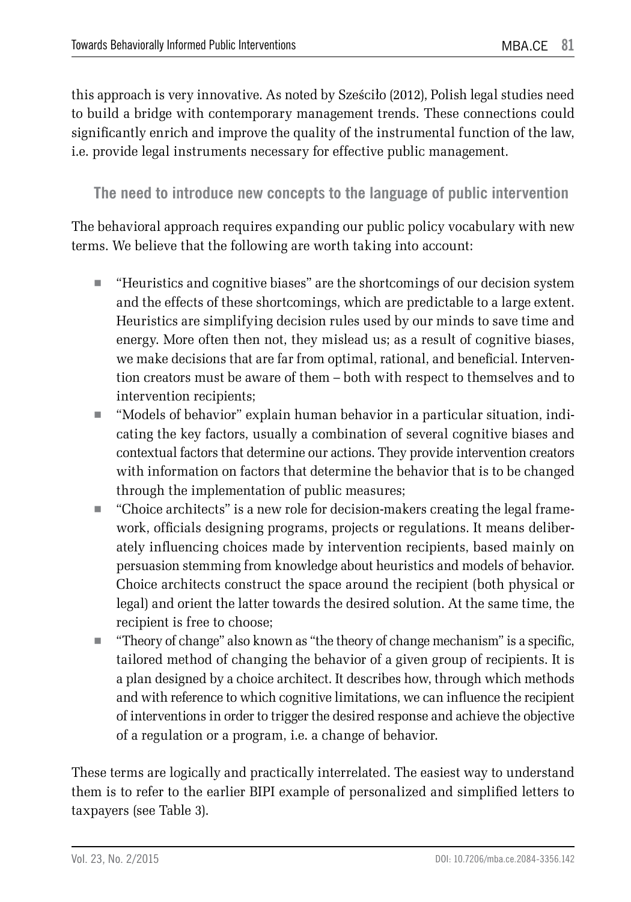this approach is very innovative. As noted by Sześciło (2012), Polish legal studies need to build a bridge with contemporary management trends. These connections could significantly enrich and improve the quality of the instrumental function of the law, i.e. provide legal instruments necessary for effective public management.

**The need to introduce new concepts to the language of public intervention**

The behavioral approach requires expanding our public policy vocabulary with new terms. We believe that the following are worth taking into account:

- "Heuristics and cognitive biases" are the shortcomings of our decision system and the effects of these shortcomings, which are predictable to a large extent. Heuristics are simplifying decision rules used by our minds to save time and energy. More often then not, they mislead us; as a result of cognitive biases, we make decisions that are far from optimal, rational, and beneficial. Intervention creators must be aware of them – both with respect to themselves and to intervention recipients;
- "Models of behavior" explain human behavior in a particular situation, indicating the key factors, usually a combination of several cognitive biases and contextual factors that determine our actions. They provide intervention creators with information on factors that determine the behavior that is to be changed through the implementation of public measures;
- "Choice architects" is a new role for decision-makers creating the legal framework, officials designing programs, projects or regulations. It means deliberately influencing choices made by intervention recipients, based mainly on persuasion stemming from knowledge about heuristics and models of behavior. Choice architects construct the space around the recipient (both physical or legal) and orient the latter towards the desired solution. At the same time, the recipient is free to choose;
- "Theory of change" also known as "the theory of change mechanism" is a specific, tailored method of changing the behavior of a given group of recipients. It is a plan designed by a choice architect. It describes how, through which methods and with reference to which cognitive limitations, we can influence the recipient of interventions in order to trigger the desired response and achieve the objective of a regulation or a program, i.e. a change of behavior.

These terms are logically and practically interrelated. The easiest way to understand them is to refer to the earlier BIPI example of personalized and simplified letters to taxpayers (see Table 3).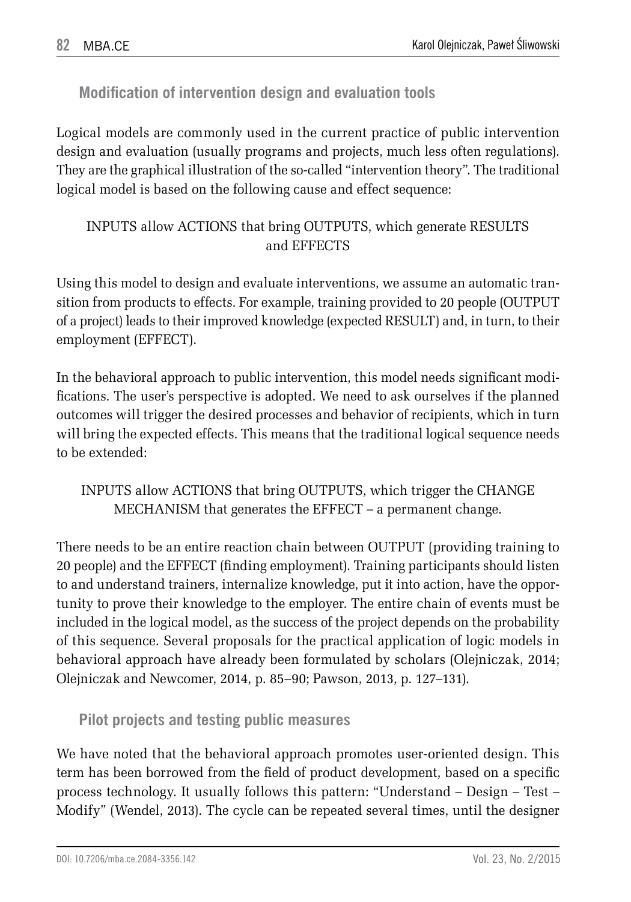**Modification of intervention design and evaluation tools**

Logical models are commonly used in the current practice of public intervention design and evaluation (usually programs and projects, much less often regulations). They are the graphical illustration of the so-called "intervention theory". The traditional logical model is based on the following cause and effect sequence:

INPUTS allow ACTIONS that bring OUTPUTS, which generate RESULTS and EFFECTS

Using this model to design and evaluate interventions, we assume an automatic transition from products to effects. For example, training provided to 20 people (OUTPUT of a project) leads to their improved knowledge (expected RESULT) and, in turn, to their employment (EFFECT).

In the behavioral approach to public intervention, this model needs significant modifications. The user's perspective is adopted. We need to ask ourselves if the planned outcomes will trigger the desired processes and behavior of recipients, which in turn will bring the expected effects. This means that the traditional logical sequence needs to be extended:

INPUTS allow ACTIONS that bring OUTPUTS, which trigger the CHANGE MECHANISM that generates the EFFECT – a permanent change.

There needs to be an entire reaction chain between OUTPUT (providing training to 20 people) and the EFFECT (finding employment). Training participants should listen to and understand trainers, internalize knowledge, put it into action, have the opportunity to prove their knowledge to the employer. The entire chain of events must be included in the logical model, as the success of the project depends on the probability of this sequence. Several proposals for the practical application of logic models in behavioral approach have already been formulated by scholars (Olejniczak, 2014; Olejniczak and Newcomer, 2014, p. 85–90; Pawson, 2013, p. 127–131).

**Pilot projects and testing public measures**

We have noted that the behavioral approach promotes user-oriented design. This term has been borrowed from the field of product development, based on a specific process technology. It usually follows this pattern: "Understand – Design – Test – Modify" (Wendel, 2013). The cycle can be repeated several times, until the designer

DOI: 10.7206/mba.ce.2084-3356.142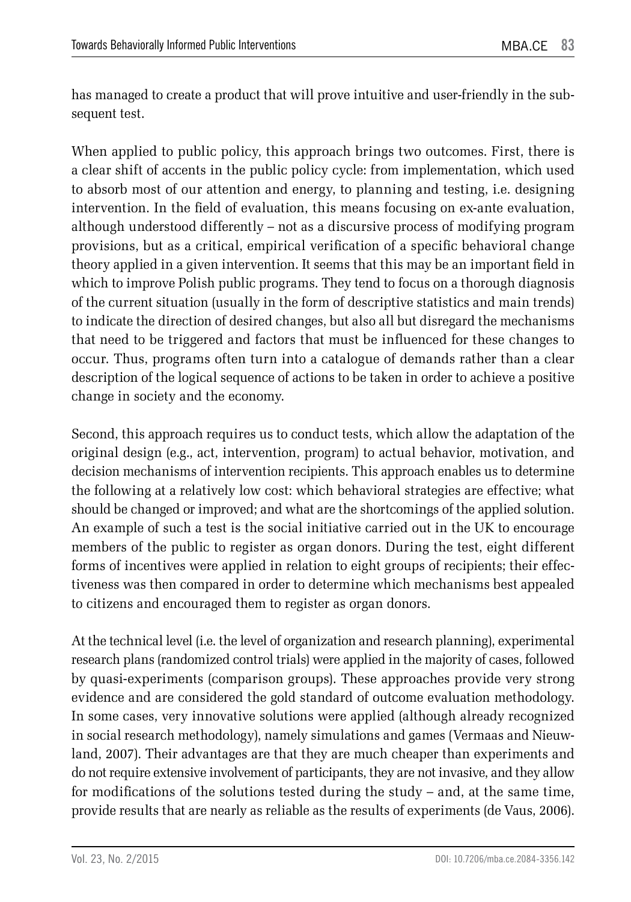has managed to create a product that will prove intuitive and user-friendly in the subsequent test.

When applied to public policy, this approach brings two outcomes. First, there is a clear shift of accents in the public policy cycle: from implementation, which used to absorb most of our attention and energy, to planning and testing, i.e. designing intervention. In the field of evaluation, this means focusing on ex-ante evaluation, although understood differently – not as a discursive process of modifying program provisions, but as a critical, empirical verification of a specific behavioral change theory applied in a given intervention. It seems that this may be an important field in which to improve Polish public programs. They tend to focus on a thorough diagnosis of the current situation (usually in the form of descriptive statistics and main trends) to indicate the direction of desired changes, but also all but disregard the mechanisms that need to be triggered and factors that must be influenced for these changes to occur. Thus, programs often turn into a catalogue of demands rather than a clear description of the logical sequence of actions to be taken in order to achieve a positive change in society and the economy.

Second, this approach requires us to conduct tests, which allow the adaptation of the original design (e.g., act, intervention, program) to actual behavior, motivation, and decision mechanisms of intervention recipients. This approach enables us to determine the following at a relatively low cost: which behavioral strategies are effective; what should be changed or improved; and what are the shortcomings of the applied solution. An example of such a test is the social initiative carried out in the UK to encourage members of the public to register as organ donors. During the test, eight different forms of incentives were applied in relation to eight groups of recipients; their effectiveness was then compared in order to determine which mechanisms best appealed to citizens and encouraged them to register as organ donors.

At the technical level (i.e. the level of organization and research planning), experimental research plans (randomized control trials) were applied in the majority of cases, followed by quasi-experiments (comparison groups). These approaches provide very strong evidence and are considered the gold standard of outcome evaluation methodology. In some cases, very innovative solutions were applied (although already recognized in social research methodology), namely simulations and games (Vermaas and Nieuwland, 2007). Their advantages are that they are much cheaper than experiments and do not require extensive involvement of participants, they are not invasive, and they allow for modifications of the solutions tested during the study – and, at the same time, provide results that are nearly as reliable as the results of experiments (de Vaus, 2006).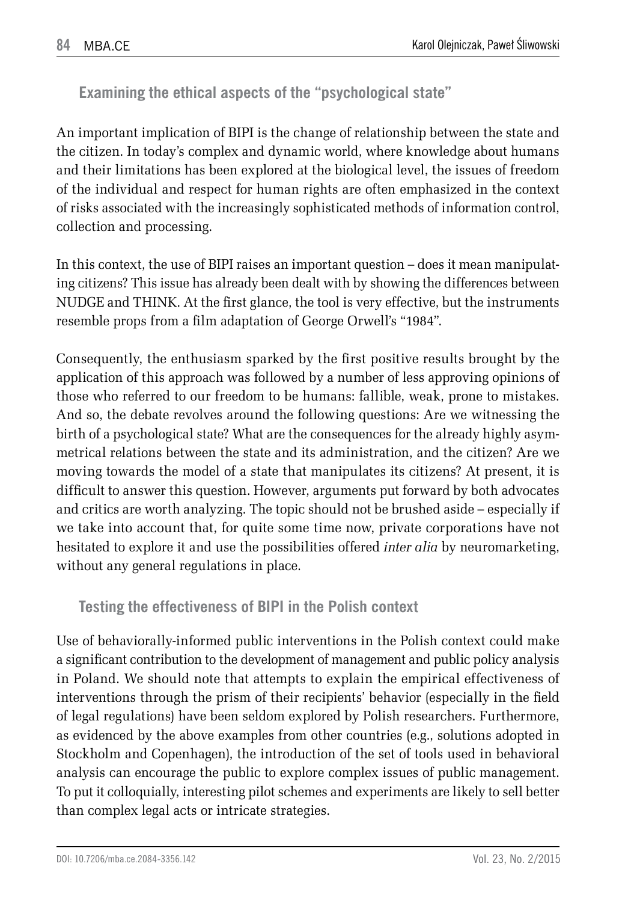**Examining the ethical aspects of the "psychological state"**

An important implication of BIPI is the change of relationship between the state and the citizen. In today's complex and dynamic world, where knowledge about humans and their limitations has been explored at the biological level, the issues of freedom of the individual and respect for human rights are often emphasized in the context of risks associated with the increasingly sophisticated methods of information control, collection and processing.

In this context, the use of BIPI raises an important question – does it mean manipulating citizens? This issue has already been dealt with by showing the differences between NUDGE and THINK. At the first glance, the tool is very effective, but the instruments resemble props from a film adaptation of George Orwell's "1984".

Consequently, the enthusiasm sparked by the first positive results brought by the application of this approach was followed by a number of less approving opinions of those who referred to our freedom to be humans: fallible, weak, prone to mistakes. And so, the debate revolves around the following questions: Are we witnessing the birth of a psychological state? What are the consequences for the already highly asymmetrical relations between the state and its administration, and the citizen? Are we moving towards the model of a state that manipulates its citizens? At present, it is difficult to answer this question. However, arguments put forward by both advocates and critics are worth analyzing. The topic should not be brushed aside – especially if we take into account that, for quite some time now, private corporations have not hesitated to explore it and use the possibilities offered *inter alia* by neuromarketing, without any general regulations in place.

### **Testing the effectiveness of BIPI in the Polish context**

Use of behaviorally-informed public interventions in the Polish context could make a significant contribution to the development of management and public policy analysis in Poland. We should note that attempts to explain the empirical effectiveness of interventions through the prism of their recipients' behavior (especially in the field of legal regulations) have been seldom explored by Polish researchers. Furthermore, as evidenced by the above examples from other countries (e.g., solutions adopted in Stockholm and Copenhagen), the introduction of the set of tools used in behavioral analysis can encourage the public to explore complex issues of public management. To put it colloquially, interesting pilot schemes and experiments are likely to sell better than complex legal acts or intricate strategies.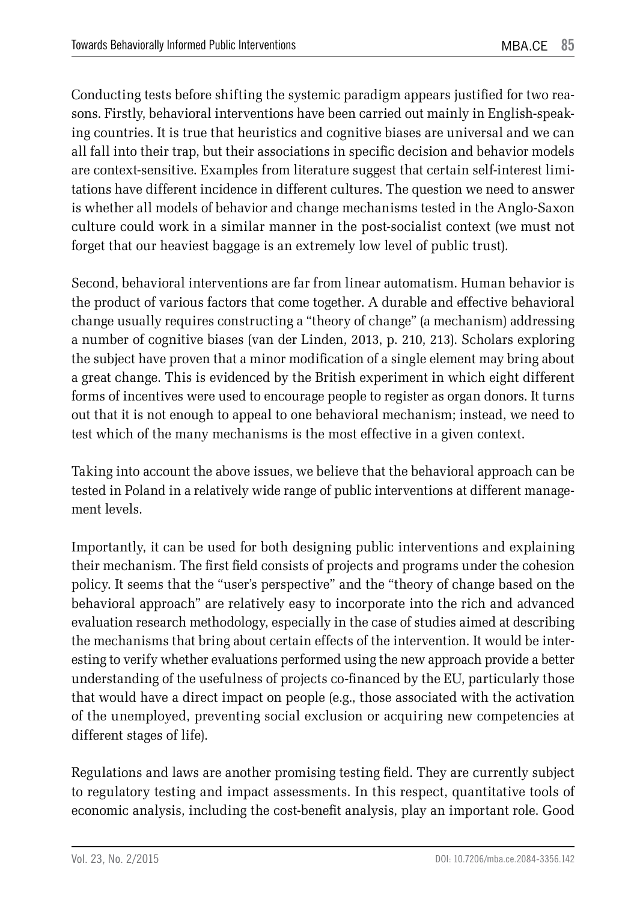Conducting tests before shifting the systemic paradigm appears justified for two reasons. Firstly, behavioral interventions have been carried out mainly in English-speaking countries. It is true that heuristics and cognitive biases are universal and we can all fall into their trap, but their associations in specific decision and behavior models are context-sensitive. Examples from literature suggest that certain self-interest limitations have different incidence in different cultures. The question we need to answer is whether all models of behavior and change mechanisms tested in the Anglo-Saxon culture could work in a similar manner in the post-socialist context (we must not forget that our heaviest baggage is an extremely low level of public trust).

Second, behavioral interventions are far from linear automatism. Human behavior is the product of various factors that come together. A durable and effective behavioral change usually requires constructing a "theory of change" (a mechanism) addressing a number of cognitive biases (van der Linden, 2013, p. 210, 213). Scholars exploring the subject have proven that a minor modification of a single element may bring about a great change. This is evidenced by the British experiment in which eight different forms of incentives were used to encourage people to register as organ donors. It turns out that it is not enough to appeal to one behavioral mechanism; instead, we need to test which of the many mechanisms is the most effective in a given context.

Taking into account the above issues, we believe that the behavioral approach can be tested in Poland in a relatively wide range of public interventions at different management levels.

Importantly, it can be used for both designing public interventions and explaining their mechanism. The first field consists of projects and programs under the cohesion policy. It seems that the "user's perspective" and the "theory of change based on the behavioral approach" are relatively easy to incorporate into the rich and advanced evaluation research methodology, especially in the case of studies aimed at describing the mechanisms that bring about certain effects of the intervention. It would be interesting to verify whether evaluations performed using the new approach provide a better understanding of the usefulness of projects co-financed by the EU, particularly those that would have a direct impact on people (e.g., those associated with the activation of the unemployed, preventing social exclusion or acquiring new competencies at different stages of life).

Regulations and laws are another promising testing field. They are currently subject to regulatory testing and impact assessments. In this respect, quantitative tools of economic analysis, including the cost-benefit analysis, play an important role. Good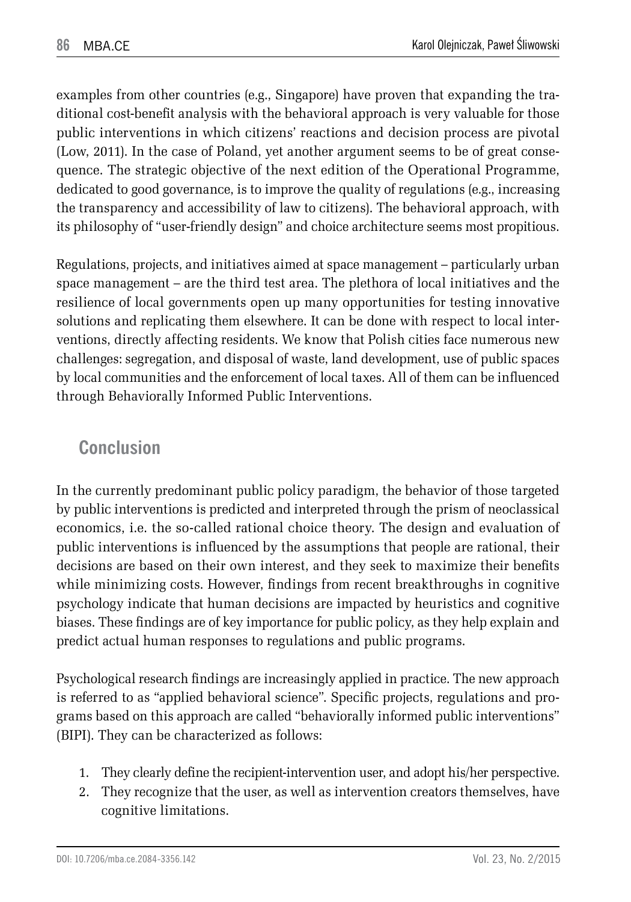examples from other countries (e.g., Singapore) have proven that expanding the traditional cost-benefit analysis with the behavioral approach is very valuable for those public interventions in which citizens' reactions and decision process are pivotal (Low, 2011). In the case of Poland, yet another argument seems to be of great consequence. The strategic objective of the next edition of the Operational Programme, dedicated to good governance, is to improve the quality of regulations (e.g., increasing the transparency and accessibility of law to citizens). The behavioral approach, with its philosophy of "user-friendly design" and choice architecture seems most propitious.

Regulations, projects, and initiatives aimed at space management – particularly urban space management – are the third test area. The plethora of local initiatives and the resilience of local governments open up many opportunities for testing innovative solutions and replicating them elsewhere. It can be done with respect to local interventions, directly affecting residents. We know that Polish cities face numerous new challenges: segregation, and disposal of waste, land development, use of public spaces by local communities and the enforcement of local taxes. All of them can be influenced through Behaviorally Informed Public Interventions.

## **Conclusion**

In the currently predominant public policy paradigm, the behavior of those targeted by public interventions is predicted and interpreted through the prism of neoclassical economics, i.e. the so-called rational choice theory. The design and evaluation of public interventions is influenced by the assumptions that people are rational, their decisions are based on their own interest, and they seek to maximize their benefits while minimizing costs. However, findings from recent breakthroughs in cognitive psychology indicate that human decisions are impacted by heuristics and cognitive biases. These findings are of key importance for public policy, as they help explain and predict actual human responses to regulations and public programs.

Psychological research findings are increasingly applied in practice. The new approach is referred to as "applied behavioral science". Specific projects, regulations and programs based on this approach are called "behaviorally informed public interventions" (BIPI). They can be characterized as follows:

- 1. They clearly define the recipient-intervention user, and adopt his/her perspective.
- 2. They recognize that the user, as well as intervention creators themselves, have cognitive limitations.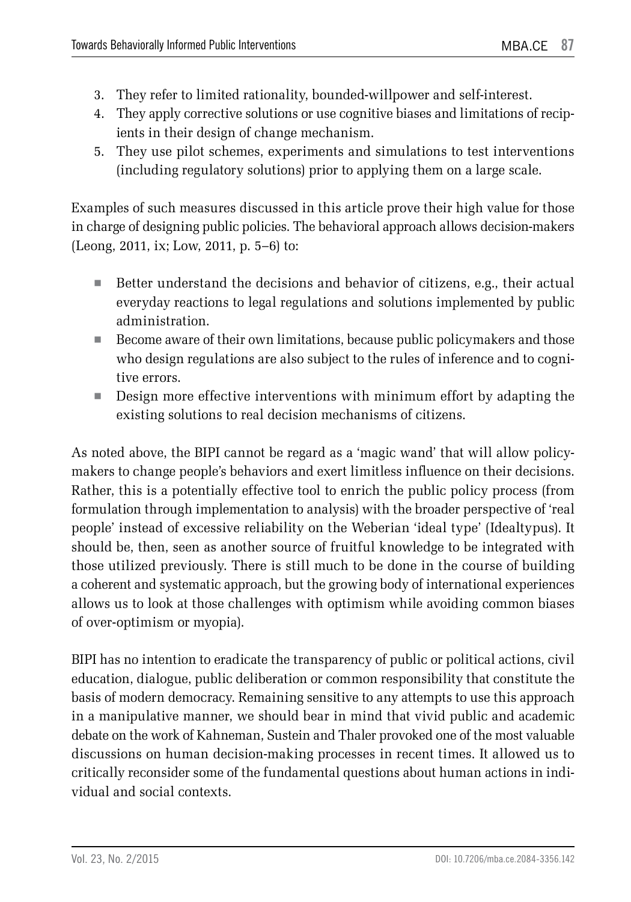- 3. They refer to limited rationality, bounded-willpower and self-interest.
- 4. They apply corrective solutions or use cognitive biases and limitations of recipients in their design of change mechanism.
- 5. They use pilot schemes, experiments and simulations to test interventions (including regulatory solutions) prior to applying them on a large scale.

Examples of such measures discussed in this article prove their high value for those in charge of designing public policies. The behavioral approach allows decision-makers (Leong, 2011, ix; Low, 2011, p. 5–6) to:

- Better understand the decisions and behavior of citizens, e.g., their actual everyday reactions to legal regulations and solutions implemented by public administration.
- Become aware of their own limitations, because public policymakers and those who design regulations are also subject to the rules of inference and to cognitive errors.
- **Design more effective interventions with minimum effort by adapting the** existing solutions to real decision mechanisms of citizens.

As noted above, the BIPI cannot be regard as a 'magic wand' that will allow policymakers to change people's behaviors and exert limitless influence on their decisions. Rather, this is a potentially effective tool to enrich the public policy process (from formulation through implementation to analysis) with the broader perspective of 'real people' instead of excessive reliability on the Weberian 'ideal type' (Idealtypus). It should be, then, seen as another source of fruitful knowledge to be integrated with those utilized previously. There is still much to be done in the course of building a coherent and systematic approach, but the growing body of international experiences allows us to look at those challenges with optimism while avoiding common biases of over-optimism or myopia).

BIPI has no intention to eradicate the transparency of public or political actions, civil education, dialogue, public deliberation or common responsibility that constitute the basis of modern democracy. Remaining sensitive to any attempts to use this approach in a manipulative manner, we should bear in mind that vivid public and academic debate on the work of Kahneman, Sustein and Thaler provoked one of the most valuable discussions on human decision-making processes in recent times. It allowed us to critically reconsider some of the fundamental questions about human actions in individual and social contexts.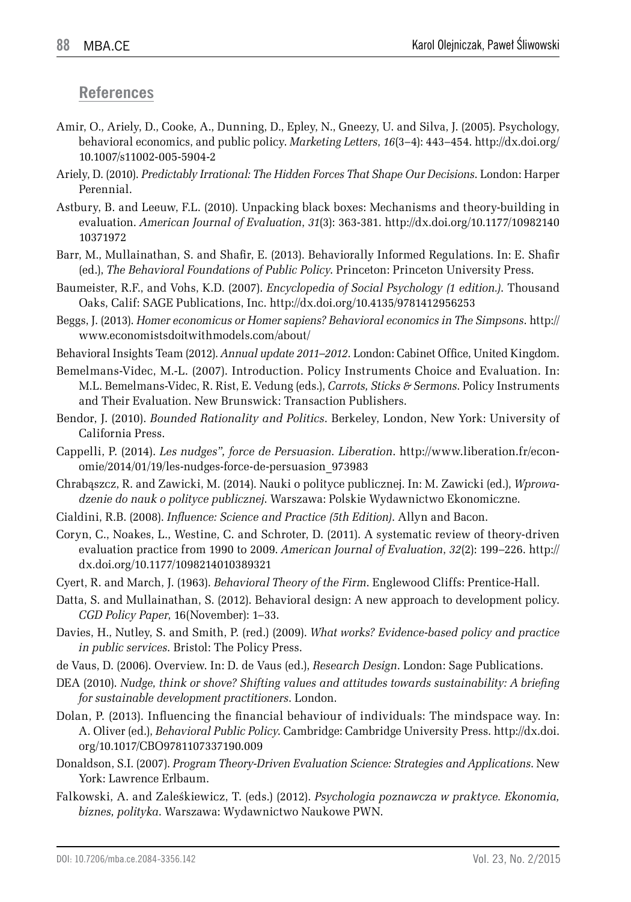#### **References**

- Amir, O., Ariely, D., Cooke, A., Dunning, D., Epley, N., Gneezy, U. and Silva, J. (2005). Psychology, behavioral economics, and public policy. *Marketing Letters*, *16*(3–4): 443–454. http://dx.doi.org/ 10.1007/s11002-005-5904-2
- Ariely, D. (2010). *Predictably Irrational: The Hidden Forces That Shape Our Decisions*. London: Harper Perennial.
- Astbury, B. and Leeuw, F.L. (2010). Unpacking black boxes: Mechanisms and theory-building in evaluation. *American Journal of Evaluation*, *31*(3): 363-381. http://dx.doi.org/10.1177/10982140 10371972
- Barr, M., Mullainathan, S. and Shafir, E. (2013). Behaviorally Informed Regulations. In: E. Shafir (ed.), *The Behavioral Foundations of Public Policy*. Princeton: Princeton University Press.
- Baumeister, R.F., and Vohs, K.D. (2007). *Encyclopedia of Social Psychology (1 edition.)*. Thousand Oaks, Calif: SAGE Publications, Inc. http://dx.doi.org/10.4135/9781412956253
- Beggs, J. (2013). *Homer economicus or Homer sapiens? Behavioral economics in The Simpsons*. http:// www.economistsdoitwithmodels.com/about/
- Behavioral Insights Team (2012). *Annual update 2011–2012*. London: Cabinet Office, United Kingdom.
- Bemelmans-Videc, M.-L. (2007). Introduction. Policy Instruments Choice and Evaluation. In: M.L. Bemelmans-Videc, R. Rist, E. Vedung (eds.), *Carrots, Sticks & Sermons*. Policy Instruments and Their Evaluation. New Brunswick: Transaction Publishers.
- Bendor, J. (2010). *Bounded Rationality and Politics*. Berkeley, London, New York: University of California Press.
- Cappelli, P. (2014). *Les nudges", force de Persuasion. Liberation*. http://www.liberation.fr/economie/2014/01/19/les-nudges-force-de-persuasion\_973983
- Chrabąszcz, R. and Zawicki, M. (2014). Nauki o polityce publicznej. In: M. Zawicki (ed.), *Wprowadzenie do nauk o polityce publicznej*. Warszawa: Polskie Wydawnictwo Ekonomiczne.
- Cialdini, R.B. (2008). *Influence: Science and Practice (5th Edition)*. Allyn and Bacon.
- Coryn, C., Noakes, L., Westine, C. and Schroter, D. (2011). A systematic review of theory-driven evaluation practice from 1990 to 2009. *American Journal of Evaluation*, *32*(2): 199–226. http:// dx.doi.org/10.1177/1098214010389321
- Cyert, R. and March, J. (1963). *Behavioral Theory of the Firm*. Englewood Cliffs: Prentice-Hall.
- Datta, S. and Mullainathan, S. (2012). Behavioral design: A new approach to development policy. *CGD Policy Paper*, 16(November): 1–33.
- Davies, H., Nutley, S. and Smith, P. (red.) (2009). *What works? Evidence-based policy and practice in public services*. Bristol: The Policy Press.
- de Vaus, D. (2006). Overview. In: D. de Vaus (ed.), *Research Design*. London: Sage Publications.
- DEA (2010). *Nudge, think or shove? Shifting values and attitudes towards sustainability: A briefing for sustainable development practitioners*. London.
- Dolan, P. (2013). Influencing the financial behaviour of individuals: The mindspace way. In: A. Oliver (ed.), *Behavioral Public Policy*. Cambridge: Cambridge University Press. http://dx.doi. org/10.1017/CBO9781107337190.009
- Donaldson, S.I. (2007). *Program Theory-Driven Evaluation Science: Strategies and Applications*. New York: Lawrence Erlbaum.
- Falkowski, A. and Zaleśkiewicz, T. (eds.) (2012). *Psychologia poznawcza w praktyce. Ekonomia, biznes, polityka*. Warszawa: Wydawnictwo Naukowe PWN.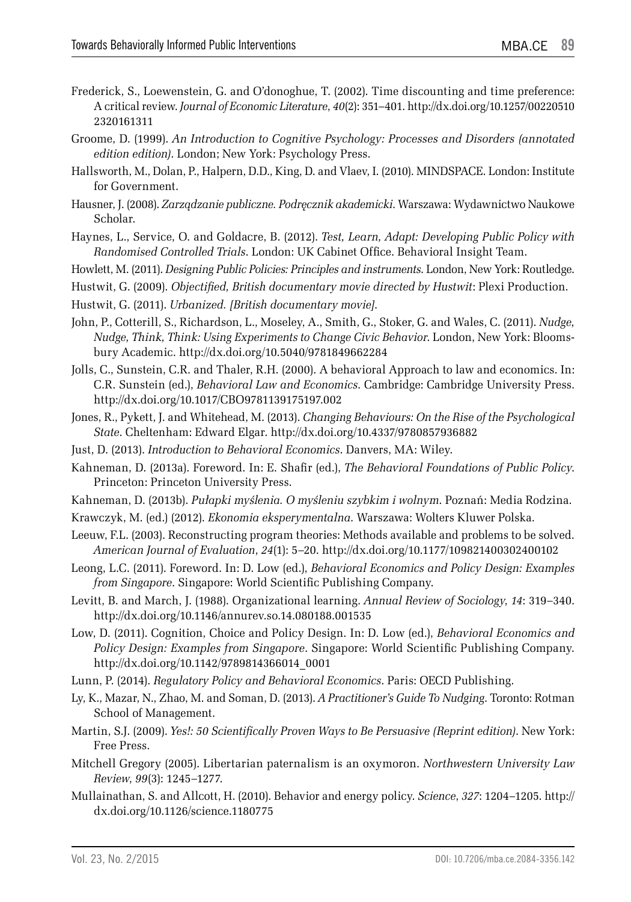- Frederick, S., Loewenstein, G. and O'donoghue, T. (2002). Time discounting and time preference: A critical review. *Journal of Economic Literature*, *40*(2): 351–401. http://dx.doi.org/10.1257/00220510 2320161311
- Groome, D. (1999). *An Introduction to Cognitive Psychology: Processes and Disorders (annotated edition edition)*. London; New York: Psychology Press.
- Hallsworth, M., Dolan, P., Halpern, D.D., King, D. and Vlaev, I. (2010). MINDSPACE. London: Institute for Government.
- Hausner, J. (2008). *Zarządzanie publiczne. Podręcznik akademicki*. Warszawa: Wydawnictwo Naukowe Scholar.
- Haynes, L., Service, O. and Goldacre, B. (2012). *Test, Learn, Adapt: Developing Public Policy with Randomised Controlled Trials*. London: UK Cabinet Office. Behavioral Insight Team.
- Howlett, M. (2011). *Designing Public Policies: Principles and instruments*. London, New York: Routledge.
- Hustwit, G. (2009). *Objectified, British documentary movie directed by Hustwit*: Plexi Production.
- Hustwit, G. (2011). *Urbanized. [British documentary movie]*.
- John, P., Cotterill, S., Richardson, L., Moseley, A., Smith, G., Stoker, G. and Wales, C. (2011). *Nudge, Nudge, Think, Think: Using Experiments to Change Civic Behavior*. London, New York: Bloomsbury Academic. http://dx.doi.org/10.5040/9781849662284
- Jolls, C., Sunstein, C.R. and Thaler, R.H. (2000). A behavioral Approach to law and economics. In: C.R. Sunstein (ed.), *Behavioral Law and Economics*. Cambridge: Cambridge University Press. http://dx.doi.org/10.1017/CBO9781139175197.002
- Jones, R., Pykett, J. and Whitehead, M. (2013). *Changing Behaviours: On the Rise of the Psychological State*. Cheltenham: Edward Elgar. http://dx.doi.org/10.4337/9780857936882
- Just, D. (2013). *Introduction to Behavioral Economics*. Danvers, MA: Wiley.
- Kahneman, D. (2013a). Foreword. In: E. Shafir (ed.), *The Behavioral Foundations of Public Policy*. Princeton: Princeton University Press.
- Kahneman, D. (2013b). *Pułapki myślenia. O myśleniu szybkim i wolnym*. Poznań: Media Rodzina.
- Krawczyk, M. (ed.) (2012). *Ekonomia eksperymentalna*. Warszawa: Wolters Kluwer Polska.
- Leeuw, F.L. (2003). Reconstructing program theories: Methods available and problems to be solved. *American Journal of Evaluation*, *24*(1): 5–20. http://dx.doi.org/10.1177/109821400302400102
- Leong, L.C. (2011). Foreword. In: D. Low (ed.), *Behavioral Economics and Policy Design: Examples from Singapore*. Singapore: World Scientific Publishing Company.
- Levitt, B. and March, J. (1988). Organizational learning. *Annual Review of Sociology*, *14*: 319–340. http://dx.doi.org/10.1146/annurev.so.14.080188.001535
- Low, D. (2011). Cognition, Choice and Policy Design. In: D. Low (ed.), *Behavioral Economics and Policy Design: Examples from Singapore*. Singapore: World Scientific Publishing Company. http://dx.doi.org/10.1142/9789814366014\_0001
- Lunn, P. (2014). *Regulatory Policy and Behavioral Economics*. Paris: OECD Publishing.
- Ly, K., Mazar, N., Zhao, M. and Soman, D. (2013). *A Practitioner's Guide To Nudging*. Toronto: Rotman School of Management.
- Martin, S.J. (2009). *Yes!: 50 Scientifically Proven Ways to Be Persuasive (Reprint edition)*. New York: Free Press.
- Mitchell Gregory (2005). Libertarian paternalism is an oxymoron. *Northwestern University Law Review*, *99*(3): 1245–1277.
- Mullainathan, S. and Allcott, H. (2010). Behavior and energy policy. *Science*, *327*: 1204–1205. http:// dx.doi.org/10.1126/science.1180775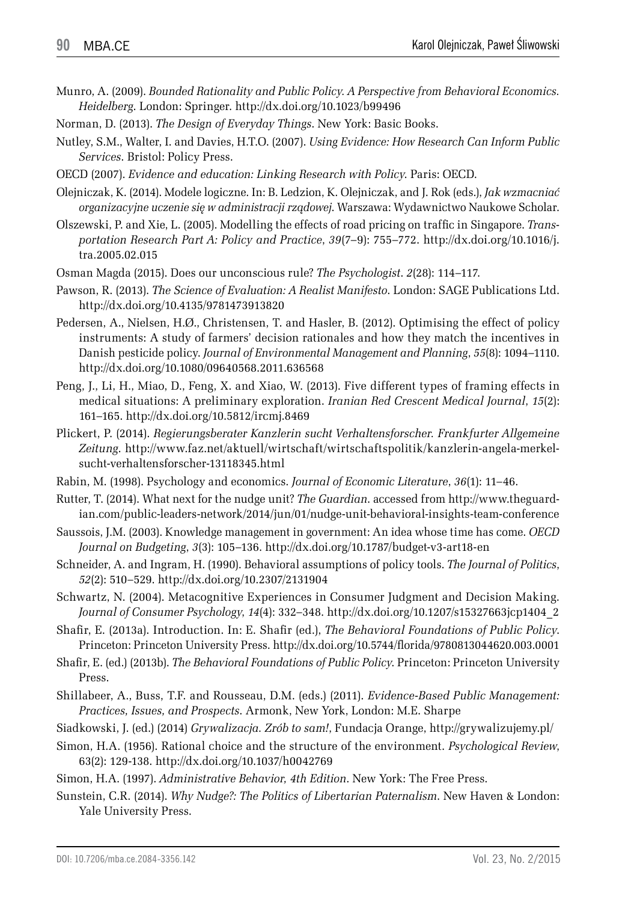- Munro, A. (2009). *Bounded Rationality and Public Policy. A Perspective from Behavioral Economics. Heidelberg*. London: Springer. http://dx.doi.org/10.1023/b99496
- Norman, D. (2013). *The Design of Everyday Things*. New York: Basic Books.
- Nutley, S.M., Walter, I. and Davies, H.T.O. (2007). *Using Evidence: How Research Can Inform Public Services*. Bristol: Policy Press.
- OECD (2007). *Evidence and education: Linking Research with Policy*. Paris: OECD.
- Olejniczak, K. (2014). Modele logiczne. In: B. Ledzion, K. Olejniczak, and J. Rok (eds.), *Jak wzmacniać organizacyjne uczenie się w administracji rządowej*. Warszawa: Wydawnictwo Naukowe Scholar.
- Olszewski, P. and Xie, L. (2005). Modelling the effects of road pricing on traffic in Singapore. *Transportation Research Part A: Policy and Practice*, *39*(7–9): 755–772. http://dx.doi.org/10.1016/j. tra.2005.02.015
- Osman Magda (2015). Does our unconscious rule? *The Psychologist*. *2*(28): 114–117.
- Pawson, R. (2013). *The Science of Evaluation: A Realist Manifesto*. London: SAGE Publications Ltd. http://dx.doi.org/10.4135/9781473913820
- Pedersen, A., Nielsen, H.Ø., Christensen, T. and Hasler, B. (2012). Optimising the effect of policy instruments: A study of farmers' decision rationales and how they match the incentives in Danish pesticide policy. *Journal of Environmental Management and Planning*, *55*(8): 1094–1110. http://dx.doi.org/10.1080/09640568.2011.636568
- Peng, J., Li, H., Miao, D., Feng, X. and Xiao, W. (2013). Five different types of framing effects in medical situations: A preliminary exploration. *Iranian Red Crescent Medical Journal*, *15*(2): 161–165. http://dx.doi.org/10.5812/ircmj.8469
- Plickert, P. (2014). *Regierungsberater Kanzlerin sucht Verhaltensforscher. Frankfurter Allgemeine Zeitung*. http://www.faz.net/aktuell/wirtschaft/wirtschaftspolitik/kanzlerin-angela-merkelsucht-verhaltensforscher-13118345.html
- Rabin, M. (1998). Psychology and economics. *Journal of Economic Literature*, *36*(1): 11–46.
- Rutter, T. (2014). What next for the nudge unit? *The Guardian*. accessed from http://www.theguardian.com/public-leaders-network/2014/jun/01/nudge-unit-behavioral-insights-team-conference
- Saussois, J.M. (2003). Knowledge management in government: An idea whose time has come. *OECD Journal on Budgeting*, *3*(3): 105–136. http://dx.doi.org/10.1787/budget-v3-art18-en
- Schneider, A. and Ingram, H. (1990). Behavioral assumptions of policy tools. *The Journal of Politics*, *52*(2): 510–529. http://dx.doi.org/10.2307/2131904
- Schwartz, N. (2004). Metacognitive Experiences in Consumer Judgment and Decision Making. *Journal of Consumer Psychology*, *14*(4): 332–348. http://dx.doi.org/10.1207/s15327663jcp1404\_2
- Shafir, E. (2013a). Introduction. In: E. Shafir (ed.), *The Behavioral Foundations of Public Policy*. Princeton: Princeton University Press. http://dx.doi.org/10.5744/florida/9780813044620.003.0001
- Shafir, E. (ed.) (2013b). *The Behavioral Foundations of Public Policy*. Princeton: Princeton University Press.
- Shillabeer, A., Buss, T.F. and Rousseau, D.M. (eds.) (2011). *Evidence-Based Public Management: Practices, Issues, and Prospects*. Armonk, New York, London: M.E. Sharpe
- Siadkowski, J. (ed.) (2014) *Grywalizacja. Zrób to sam!*, Fundacja Orange, http://grywalizujemy.pl/
- Simon, H.A. (1956). Rational choice and the structure of the environment. *Psychological Review*, 63(2): 129-138. http://dx.doi.org/10.1037/h0042769

Simon, H.A. (1997). *Administrative Behavior, 4th Edition*. New York: The Free Press.

Sunstein, C.R. (2014). *Why Nudge?: The Politics of Libertarian Paternalism*. New Haven & London: Yale University Press.